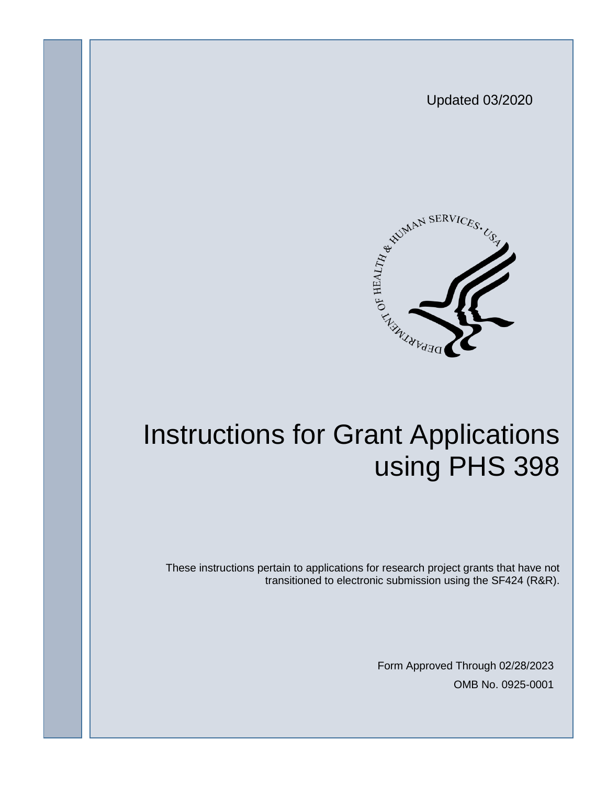Updated 03/2020



# Instructions for Grant Applications using PHS 398

These instructions pertain to applications for research project grants that have not transitioned to electronic submission using the SF424 (R&R).

> Form Approved Through 02/28/2023 OMB No. 0925-0001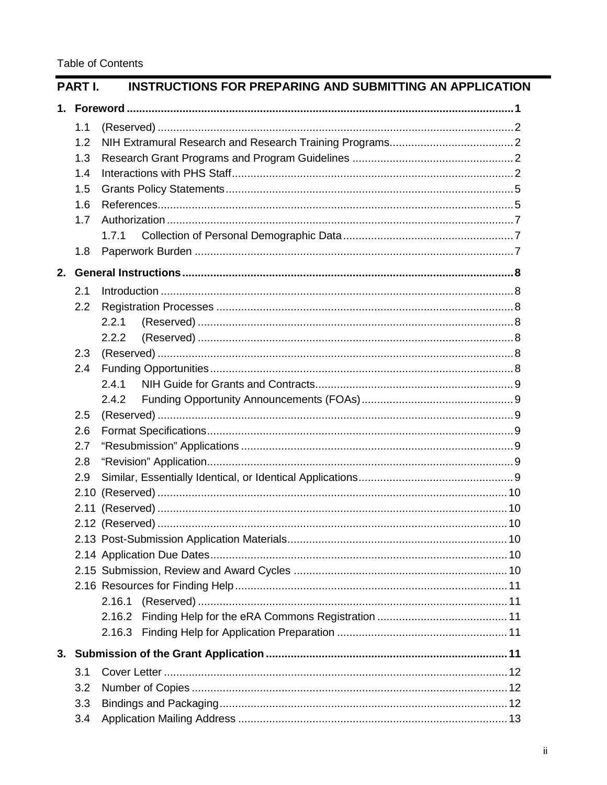| <b>PARTI.</b><br><b>INSTRUCTIONS FOR PREPARING AND SUBMITTING AN APPLICATION</b> |     |        |  |  |
|----------------------------------------------------------------------------------|-----|--------|--|--|
|                                                                                  |     |        |  |  |
|                                                                                  | 1.1 |        |  |  |
|                                                                                  | 1.2 |        |  |  |
|                                                                                  | 1.3 |        |  |  |
|                                                                                  | 1.4 |        |  |  |
|                                                                                  | 1.5 |        |  |  |
|                                                                                  | 1.6 |        |  |  |
|                                                                                  | 1.7 |        |  |  |
|                                                                                  |     | 1.7.1  |  |  |
|                                                                                  | 1.8 |        |  |  |
| 2.                                                                               |     |        |  |  |
|                                                                                  | 2.1 |        |  |  |
|                                                                                  | 2.2 |        |  |  |
|                                                                                  |     | 2.2.1  |  |  |
|                                                                                  |     | 2.2.2  |  |  |
|                                                                                  | 2.3 |        |  |  |
|                                                                                  | 2.4 |        |  |  |
|                                                                                  |     | 2.4.1  |  |  |
|                                                                                  |     | 2.4.2  |  |  |
|                                                                                  | 2.5 |        |  |  |
|                                                                                  | 2.6 |        |  |  |
|                                                                                  | 2.7 |        |  |  |
|                                                                                  | 2.8 |        |  |  |
|                                                                                  | 2.9 |        |  |  |
|                                                                                  |     |        |  |  |
|                                                                                  |     |        |  |  |
|                                                                                  |     |        |  |  |
|                                                                                  |     |        |  |  |
|                                                                                  |     |        |  |  |
|                                                                                  |     |        |  |  |
|                                                                                  |     |        |  |  |
|                                                                                  |     | 2.16.1 |  |  |
|                                                                                  |     | 2.16.2 |  |  |
|                                                                                  |     | 2.16.3 |  |  |
|                                                                                  |     |        |  |  |
|                                                                                  | 3.1 |        |  |  |
|                                                                                  | 3.2 |        |  |  |
|                                                                                  | 3.3 |        |  |  |
|                                                                                  | 3.4 |        |  |  |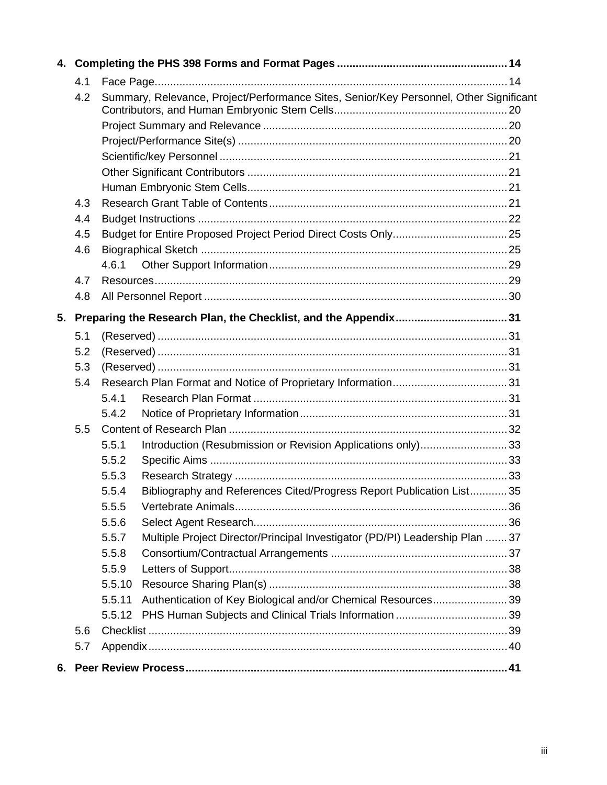|    | 4.1 |                                                                                        |  |
|----|-----|----------------------------------------------------------------------------------------|--|
|    | 4.2 | Summary, Relevance, Project/Performance Sites, Senior/Key Personnel, Other Significant |  |
|    |     |                                                                                        |  |
|    |     |                                                                                        |  |
|    |     |                                                                                        |  |
|    |     |                                                                                        |  |
|    |     |                                                                                        |  |
|    | 4.3 |                                                                                        |  |
|    | 4.4 |                                                                                        |  |
|    | 4.5 |                                                                                        |  |
|    | 4.6 |                                                                                        |  |
|    |     | 4.6.1                                                                                  |  |
|    | 4.7 |                                                                                        |  |
|    | 4.8 |                                                                                        |  |
| 5. |     |                                                                                        |  |
|    | 5.1 |                                                                                        |  |
|    | 5.2 |                                                                                        |  |
|    | 5.3 |                                                                                        |  |
|    | 5.4 |                                                                                        |  |
|    |     | 5.4.1                                                                                  |  |
|    |     | 5.4.2                                                                                  |  |
|    | 5.5 |                                                                                        |  |
|    |     | Introduction (Resubmission or Revision Applications only) 33<br>5.5.1                  |  |
|    |     | 5.5.2                                                                                  |  |
|    |     | 5.5.3                                                                                  |  |
|    |     | Bibliography and References Cited/Progress Report Publication List 35<br>5.5.4         |  |
|    |     | 5.5.5                                                                                  |  |
|    |     | 5.5.6                                                                                  |  |
|    |     | Multiple Project Director/Principal Investigator (PD/PI) Leadership Plan  37<br>5.5.7  |  |
|    |     | 5.5.8                                                                                  |  |
|    |     | 5.5.9                                                                                  |  |
|    |     | 5.5.10                                                                                 |  |
|    |     | Authentication of Key Biological and/or Chemical Resources 39<br>5.5.11                |  |
|    |     | 5.5.12                                                                                 |  |
|    | 5.6 |                                                                                        |  |
|    | 5.7 |                                                                                        |  |
| 6. |     |                                                                                        |  |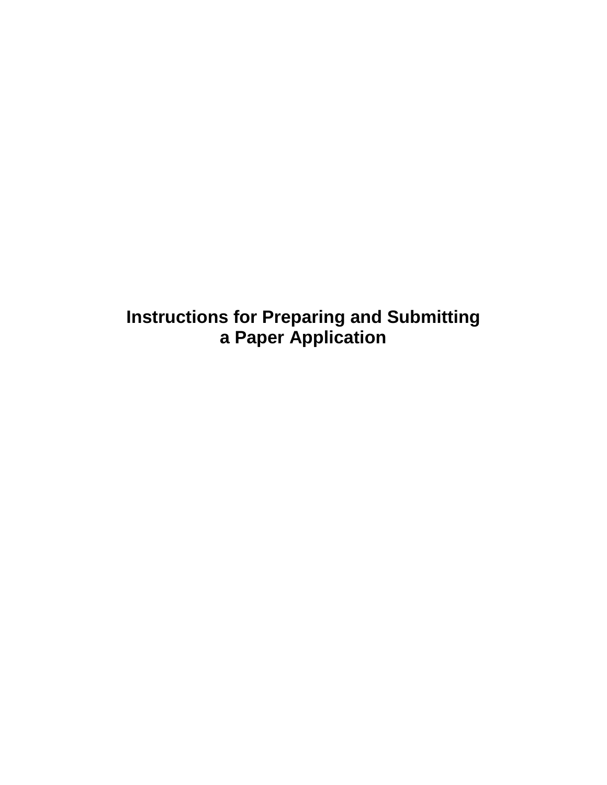<span id="page-3-0"></span>**Instructions for Preparing and Submitting a Paper Application**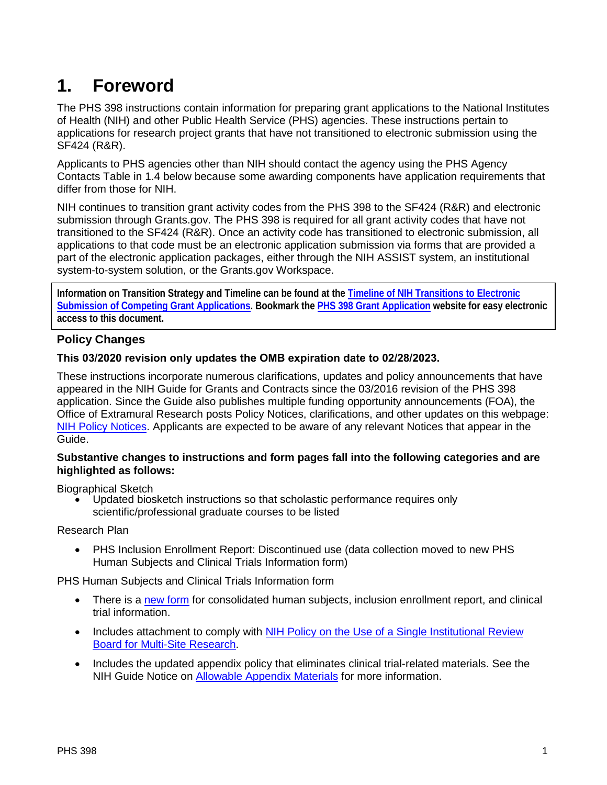## <span id="page-4-0"></span>**1. Foreword**

The PHS 398 instructions contain information for preparing grant applications to the National Institutes of Health (NIH) and other Public Health Service (PHS) agencies. These instructions pertain to applications for research project grants that have not transitioned to electronic submission using the SF424 (R&R).

Applicants to PHS agencies other than NIH should contact the agency using the PHS Agency Contacts Table in 1.4 below because some awarding components have application requirements that differ from those for NIH.

NIH continues to transition grant activity codes from the PHS 398 to the SF424 (R&R) and electronic submission through Grants.gov. The PHS 398 is required for all grant activity codes that have not transitioned to the SF424 (R&R). Once an activity code has transitioned to electronic submission, all applications to that code must be an electronic application submission via forms that are provided a part of the electronic application packages, either through the NIH ASSIST system, an institutional system-to-system solution, or the Grants.gov Workspace.

**Information on Transition Strategy and Timeline can be found at the [Timeline of NIH Transitions to Electronic](https://grants.nih.gov/grants/ElectronicReceipt/files/timeline_NIH_transitions.pdf)  [Submission of Competing Grant Applications.](https://grants.nih.gov/grants/ElectronicReceipt/files/timeline_NIH_transitions.pdf) Bookmark the [PHS 398 Grant Application](https://grants.nih.gov/grants/funding/phs398/phs398.html) website for easy electronic access to this document.**

#### **Policy Changes**

#### **This 03/2020 revision only updates the OMB expiration date to 02/28/2023.**

These instructions incorporate numerous clarifications, updates and policy announcements that have appeared in the NIH Guide for Grants and Contracts since the 03/2016 revision of the PHS 398 application. Since the Guide also publishes multiple funding opportunity announcements (FOA), the [Office of Extramura](http://grants.nih.gov/grants/policy/notices.htm)l Research posts Policy Notices, clarifications, and other updates on this webpage: NIH Policy Notices. Applicants are expected to be aware of any relevant Notices that appear in the Guide.

#### **Substantive changes to instructions and form pages fall into the following categories and are highlighted as follows:**

Biographical Sketch

• Updated biosketch instructions so that scholastic performance requires only scientific/professional graduate courses to be listed

#### Research Plan

• PHS Inclusion Enrollment Report: Discontinued use (data collection moved to new PHS Human Subjects and Clinical Trials Information form)

PHS Human Subjects and Clinical Trials Information form

- There is a [new form](https://grants.nih.gov/policy/clinical-trials/new-human-subject-clinical-trial-info-form.htm) for consolidated human subjects, inclusion enrollment report, and clinical trial information.
- Includes attachment to comply with [NIH Policy on the Use of a Single Institutional Review](https://grants.nih.gov/policy/clinical-trials/single-irb-policy-multi-site-research.htm) [Board for Multi-Site Research.](https://grants.nih.gov/policy/clinical-trials/single-irb-policy-multi-site-research.htm)
- Includes the updated appendix policy that eliminates clinical trial-related materials. See the NIH Guide Notice on [Allowable Appendix Materials](https://grants.nih.gov/grants/guide/notice-files/NOT-OD-17-098.html) for more information.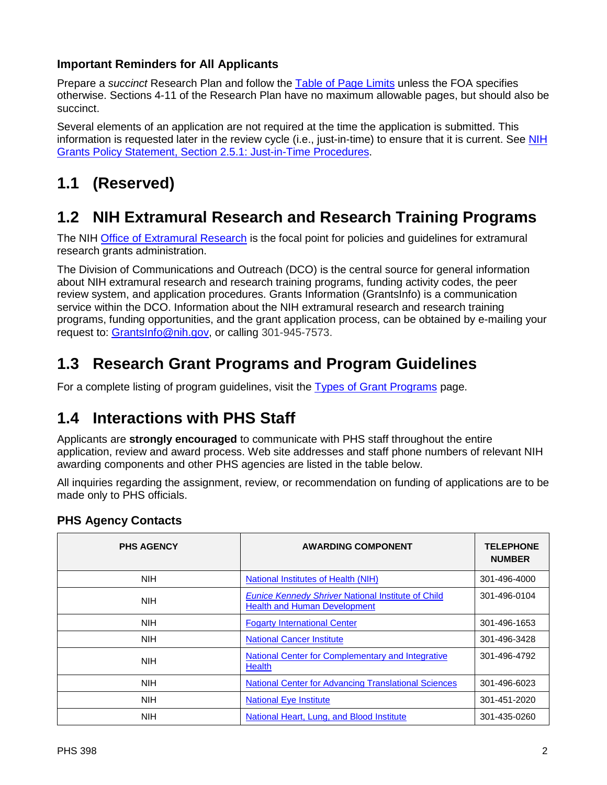### **Important Reminders for All Applicants**

Prepare a *succinct* Research Plan and follow the [Table of Page Limits](http://grants.nih.gov/grants/forms_page_limits.htm) unless the FOA specifies otherwise. Sections 4-11 of the Research Plan have no maximum allowable pages, but should also be succinct.

Several elements of an application are not required at the time the application is submitted. This information is requested later in the review cycle (i.e., just-in-time) to ensure that it is current. See NIH [Grants Policy Statement, Section 2.5.1: Just-in-Time Procedures.](https://grants.nih.gov/grants/policy/nihgps/HTML5/section_2/2.5_completing_the_pre-award_process.htm)

## <span id="page-5-0"></span>**1.1 (Reserved)**

## <span id="page-5-1"></span>**1.2 NIH Extramural Research and Research Training Programs**

The NIH [Office of Extramural Research](http://grants.nih.gov/grants/oer.htm) is the focal point for policies and guidelines for extramural research grants administration.

The Division of Communications and Outreach (DCO) is the central source for general information about NIH extramural research and research training programs, funding activity codes, the peer review system, and application procedures. Grants Information (GrantsInfo) is a communication service within the DCO. Information about the NIH extramural research and research training programs, funding opportunities, and the grant application process, can be obtained by e-mailing your request to: [GrantsInfo@nih.gov,](mailto:GrantsInfo@nih.gov) or calling 301-945-7573.

## <span id="page-5-2"></span>**1.3 Research Grant Programs and Program Guidelines**

For a complete listing of program guidelines, visit the [Types of Grant Programs](http://grants.nih.gov/grants/funding/funding_program.htm) page.

## <span id="page-5-3"></span>**1.4 Interactions with PHS Staff**

Applicants are **strongly encouraged** to communicate with PHS staff throughout the entire application, review and award process. Web site addresses and staff phone numbers of relevant NIH awarding components and other PHS agencies are listed in the table below.

All inquiries regarding the assignment, review, or recommendation on funding of applications are to be made only to PHS officials.

| <b>PHS AGENCY</b> | <b>AWARDING COMPONENT</b>                                                                        | <b>TELEPHONE</b><br><b>NUMBER</b> |
|-------------------|--------------------------------------------------------------------------------------------------|-----------------------------------|
| <b>NIH</b>        | National Institutes of Health (NIH)                                                              | 301-496-4000                      |
| <b>NIH</b>        | <b>Eunice Kennedy Shriver National Institute of Child</b><br><b>Health and Human Development</b> | 301-496-0104                      |
| <b>NIH</b>        | <b>Fogarty International Center</b>                                                              | 301-496-1653                      |
| <b>NIH</b>        | <b>National Cancer Institute</b>                                                                 | 301-496-3428                      |
| <b>NIH</b>        | National Center for Complementary and Integrative<br>Health                                      | 301-496-4792                      |
| <b>NIH</b>        | <b>National Center for Advancing Translational Sciences</b>                                      | 301-496-6023                      |
| <b>NIH</b>        | <b>National Eye Institute</b>                                                                    | 301-451-2020                      |
| <b>NIH</b>        | National Heart, Lung, and Blood Institute                                                        | 301-435-0260                      |

### <span id="page-5-4"></span>**PHS Agency Contacts**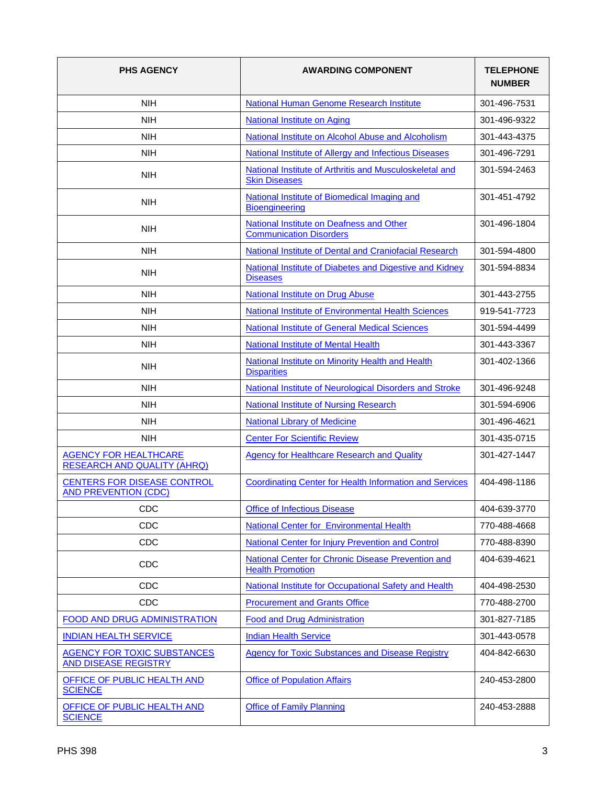| <b>PHS AGENCY</b>                                                  | <b>AWARDING COMPONENT</b>                                                            | <b>TELEPHONE</b><br><b>NUMBER</b> |
|--------------------------------------------------------------------|--------------------------------------------------------------------------------------|-----------------------------------|
| <b>NIH</b>                                                         | <b>National Human Genome Research Institute</b>                                      | 301-496-7531                      |
| <b>NIH</b>                                                         | National Institute on Aging                                                          | 301-496-9322                      |
| <b>NIH</b>                                                         | National Institute on Alcohol Abuse and Alcoholism                                   | 301-443-4375                      |
| NIH.                                                               | <b>National Institute of Allergy and Infectious Diseases</b>                         | 301-496-7291                      |
| <b>NIH</b>                                                         | National Institute of Arthritis and Musculoskeletal and<br><b>Skin Diseases</b>      | 301-594-2463                      |
| <b>NIH</b>                                                         | National Institute of Biomedical Imaging and<br><b>Bioengineering</b>                | 301-451-4792                      |
| NIH.                                                               | National Institute on Deafness and Other<br><b>Communication Disorders</b>           | 301-496-1804                      |
| <b>NIH</b>                                                         | National Institute of Dental and Craniofacial Research                               | 301-594-4800                      |
| <b>NIH</b>                                                         | National Institute of Diabetes and Digestive and Kidney<br><b>Diseases</b>           | 301-594-8834                      |
| <b>NIH</b>                                                         | National Institute on Drug Abuse                                                     | 301-443-2755                      |
| <b>NIH</b>                                                         | National Institute of Environmental Health Sciences                                  | 919-541-7723                      |
| <b>NIH</b>                                                         | <b>National Institute of General Medical Sciences</b>                                | 301-594-4499                      |
| <b>NIH</b>                                                         | <b>National Institute of Mental Health</b>                                           | 301-443-3367                      |
| <b>NIH</b>                                                         | National Institute on Minority Health and Health<br><b>Disparities</b>               | 301-402-1366                      |
| <b>NIH</b>                                                         | National Institute of Neurological Disorders and Stroke                              | 301-496-9248                      |
| <b>NIH</b>                                                         | <b>National Institute of Nursing Research</b>                                        | 301-594-6906                      |
| <b>NIH</b>                                                         | <b>National Library of Medicine</b>                                                  | 301-496-4621                      |
| <b>NIH</b>                                                         | <b>Center For Scientific Review</b>                                                  | 301-435-0715                      |
| <b>AGENCY FOR HEALTHCARE</b><br><b>RESEARCH AND QUALITY (AHRQ)</b> | <b>Agency for Healthcare Research and Quality</b>                                    | 301-427-1447                      |
| <b>CENTERS FOR DISEASE CONTROL</b><br><b>AND PREVENTION (CDC)</b>  | <b>Coordinating Center for Health Information and Services</b>                       | 404-498-1186                      |
| CDC                                                                | <b>Office of Infectious Disease</b>                                                  | 404-639-3770                      |
| CDC                                                                | <b>National Center for Environmental Health</b>                                      | 770-488-4668                      |
| <b>CDC</b>                                                         | National Center for Injury Prevention and Control                                    | 770-488-8390                      |
| <b>CDC</b>                                                         | <b>National Center for Chronic Disease Prevention and</b><br><b>Health Promotion</b> | 404-639-4621                      |
| CDC                                                                | National Institute for Occupational Safety and Health                                | 404-498-2530                      |
| <b>CDC</b>                                                         | <b>Procurement and Grants Office</b>                                                 | 770-488-2700                      |
| <b>FOOD AND DRUG ADMINISTRATION</b>                                | Food and Drug Administration                                                         | 301-827-7185                      |
| <b>INDIAN HEALTH SERVICE</b>                                       | <b>Indian Health Service</b>                                                         | 301-443-0578                      |
| <b>AGENCY FOR TOXIC SUBSTANCES</b><br><b>AND DISEASE REGISTRY</b>  | <b>Agency for Toxic Substances and Disease Registry</b>                              | 404-842-6630                      |
| OFFICE OF PUBLIC HEALTH AND<br><b>SCIENCE</b>                      | <b>Office of Population Affairs</b>                                                  | 240-453-2800                      |
| OFFICE OF PUBLIC HEALTH AND<br><b>SCIENCE</b>                      | <b>Office of Family Planning</b>                                                     | 240-453-2888                      |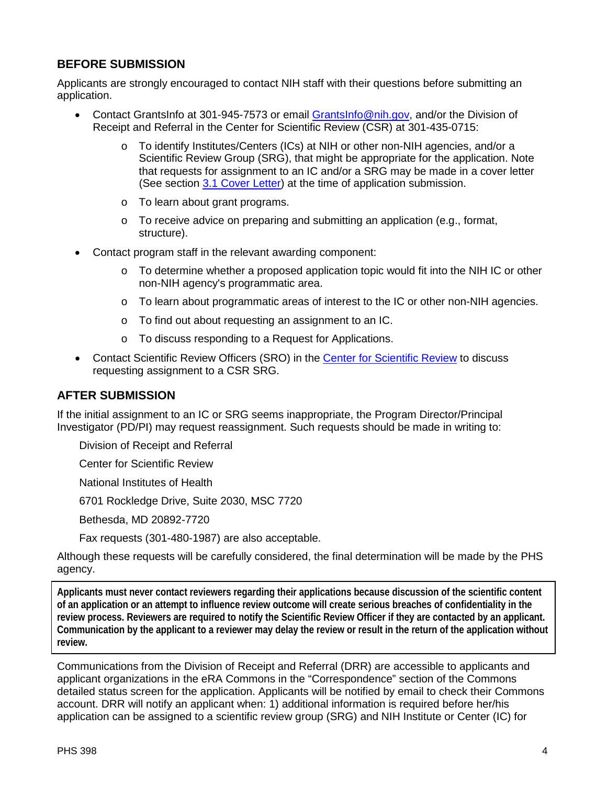#### **BEFORE SUBMISSION**

Applicants are strongly encouraged to contact NIH staff with their questions before submitting an application.

- Contact GrantsInfo at 301-945-7573 or email [GrantsInfo@nih.gov,](mailto:GrantsInfo@nih.gov) and/or the Division of Receipt and Referral in the Center for Scientific Review (CSR) at 301-435-0715:
	- o To identify Institutes/Centers (ICs) at NIH or other non-NIH agencies, and/or a Scientific Review Group (SRG), that might be appropriate for the application. Note that requests for assignment to an IC and/or a SRG may be made in a cover letter (See section [3.1 Cover Letter\)](#page-15-0) at the time of application submission.
	- o To learn about grant programs.
	- o To receive advice on preparing and submitting an application (e.g., format, structure).
- Contact program staff in the relevant awarding component:
	- $\circ$  To determine whether a proposed application topic would fit into the NIH IC or other non-NIH agency's programmatic area.
	- o To learn about programmatic areas of interest to the IC or other non-NIH agencies.
	- o To find out about requesting an assignment to an IC.
	- o To discuss responding to a Request for Applications.
- Contact Scientific Review Officers (SRO) in the [Center for Scientific Review](https://public.csr.nih.gov/StudySections/Pages/default.aspx) to discuss requesting assignment to a CSR SRG.

#### **AFTER SUBMISSION**

If the initial assignment to an IC or SRG seems inappropriate, the Program Director/Principal Investigator (PD/PI) may request reassignment. Such requests should be made in writing to:

Division of Receipt and Referral

Center for Scientific Review

National Institutes of Health

6701 Rockledge Drive, Suite 2030, MSC 7720

Bethesda, MD 20892-7720

Fax requests (301-480-1987) are also acceptable.

Although these requests will be carefully considered, the final determination will be made by the PHS agency.

**Applicants must never contact reviewers regarding their applications because discussion of the scientific content of an application or an attempt to influence review outcome will create serious breaches of confidentiality in the review process. Reviewers are required to notify the Scientific Review Officer if they are contacted by an applicant. Communication by the applicant to a reviewer may delay the review or result in the return of the application without review.**

Communications from the Division of Receipt and Referral (DRR) are accessible to applicants and applicant organizations in the eRA Commons in the "Correspondence" section of the Commons detailed status screen for the application. Applicants will be notified by email to check their Commons account. DRR will notify an applicant when: 1) additional information is required before her/his application can be assigned to a scientific review group (SRG) and NIH Institute or Center (IC) for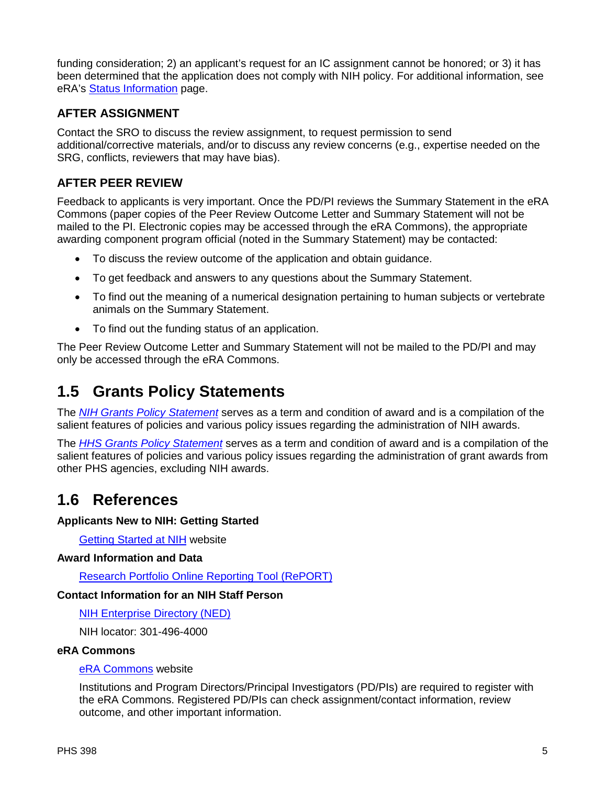funding consideration; 2) an applicant's request for an IC assignment cannot be honored; or 3) it has been determined that the application does not comply with NIH policy. For additional information, see eRA's [Status Information](https://era.nih.gov/Commons/Commons/status/status_info.htmNIH) page.

#### **AFTER ASSIGNMENT**

Contact the SRO to discuss the review assignment, to request permission to send additional/corrective materials, and/or to discuss any review concerns (e.g., expertise needed on the SRG, conflicts, reviewers that may have bias).

### **AFTER PEER REVIEW**

Feedback to applicants is very important. Once the PD/PI reviews the Summary Statement in the eRA Commons (paper copies of the Peer Review Outcome Letter and Summary Statement will not be mailed to the PI. Electronic copies may be accessed through the eRA Commons), the appropriate awarding component program official (noted in the Summary Statement) may be contacted:

- To discuss the review outcome of the application and obtain guidance.
- To get feedback and answers to any questions about the Summary Statement.
- To find out the meaning of a numerical designation pertaining to human subjects or vertebrate animals on the Summary Statement.
- To find out the funding status of an application.

The Peer Review Outcome Letter and Summary Statement will not be mailed to the PD/PI and may only be accessed through the eRA Commons.

## <span id="page-8-0"></span>**1.5 Grants Policy Statements**

The *[NIH Grants Policy Statement](http://grants.nih.gov/grants/policy/policy.htm)* serves as a term and condition of award and is a compilation of the salient features of policies and various policy issues regarding the administration of NIH awards.

The *[HHS Grants Policy Statement](https://www.hhs.gov/grants/grants/grants-policies-regulations/index.html)* serves as a term and condition of award and is a compilation of the salient features of policies and various policy issues regarding the administration of grant awards from other PHS agencies, excluding NIH awards.

## <span id="page-8-1"></span>**1.6 References**

#### **Applicants New to NIH: Getting Started**

**[Getting Started at NIH](http://grants.nih.gov/grants/useful_links.htm) website** 

#### **Award Information and Data**

[Research Portfolio Online Reporting Tool \(RePORT\)](http://report.nih.gov/)

#### **Contact Information for an NIH Staff Person**

[NIH Enterprise Directory \(NED\)](http://ned.nih.gov/)

NIH locator: 301-496-4000

#### **eRA Commons**

#### [eRA Commons](https://commons.era.nih.gov/commons/index.jsp) website

Institutions and Program Directors/Principal Investigators (PD/PIs) are required to register with the eRA Commons. Registered PD/PIs can check assignment/contact information, review outcome, and other important information.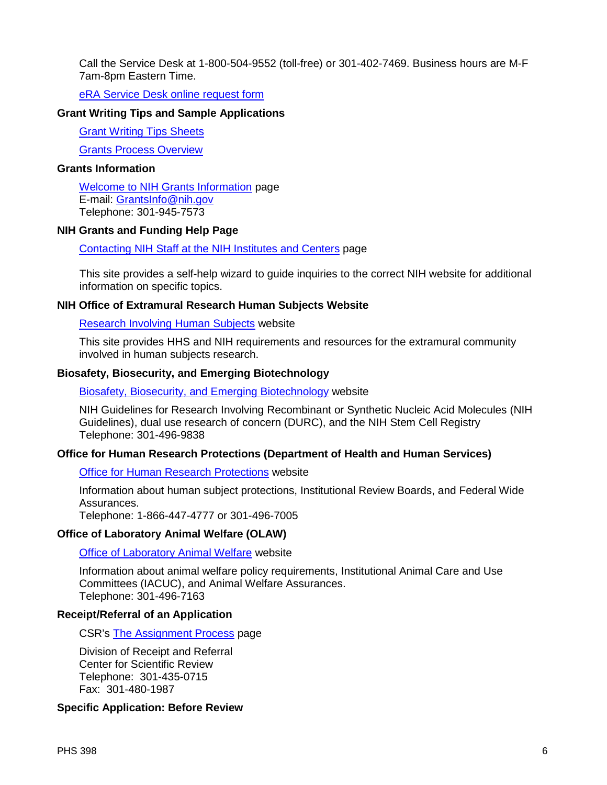Call the Service Desk at 1-800-504-9552 (toll-free) or 301-402-7469. Business hours are M-F 7am-8pm Eastern Time.

#### eRA Service Desk [online request form](https://public.era.nih.gov/chl/public/submitHelp.jsp)

#### **Grant Writing Tips and Sample Applications**

[Grant Writing Tips Sheets](http://grants.nih.gov/grants/grant_tips.htm)

[Grants Process Overview](http://grants.nih.gov/grants/grants_process.htm)

#### **Grants Information**

[Welcome to NIH Grants Information](http://grants.nih.gov/grants/giwelcome.htm) page E-mail: [GrantsInfo@nih.gov](mailto:grantsinfo@nih.gov) Telephone: 301-945-7573

#### **NIH Grants and Funding Help Page**

[Contacting NIH Staff at the NIH Institutes and Centers](http://grants.nih.gov/support/index.html) page

This site provides a self-help wizard to guide inquiries to the correct NIH website for additional information on specific topics.

#### **NIH Office of Extramural Research Human Subjects Website**

#### [Research Involving Human Subjects](https://humansubjects.nih.gov/) website

This site provides HHS and NIH requirements and resources for the extramural community involved in human subjects research.

#### **Biosafety, Biosecurity, and Emerging Biotechnology**

**[Biosafety, Biosecurity, and Emerging Biotechnology](https://osp.od.nih.gov/biosafety-biosecurity-and-emerging-biotechnology/) website** 

NIH Guidelines for Research Involving Recombinant or Synthetic Nucleic Acid Molecules (NIH Guidelines), dual use research of concern (DURC), and the NIH Stem Cell Registry Telephone: 301-496-9838

#### **Office for Human Research Protections (Department of Health and Human Services)**

[Office for Human Research Protections](http://www.hhs.gov/ohrp) website

Information about human subject protections, Institutional Review Boards, and Federal Wide Assurances.

Telephone: 1-866-447-4777 or 301-496-7005

#### **Office of Laboratory Animal Welfare (OLAW)**

[Office of Laboratory Animal Welfare](http://grants.nih.gov/grants/olaw/olaw.htm) website

Information about animal welfare policy requirements, Institutional Animal Care and Use Committees (IACUC), and Animal Welfare Assurances. Telephone: 301-496-7163

#### **Receipt/Referral of an Application**

CSR's [The Assignment Process](https://public.csr.nih.gov/ApplicantResources/ReceiptReferal/Pages/Submission-and-Assignment-Process.aspx) page

Division of Receipt and Referral Center for Scientific Review Telephone: 301-435-0715 Fax: 301-480-1987

#### **Specific Application: Before Review**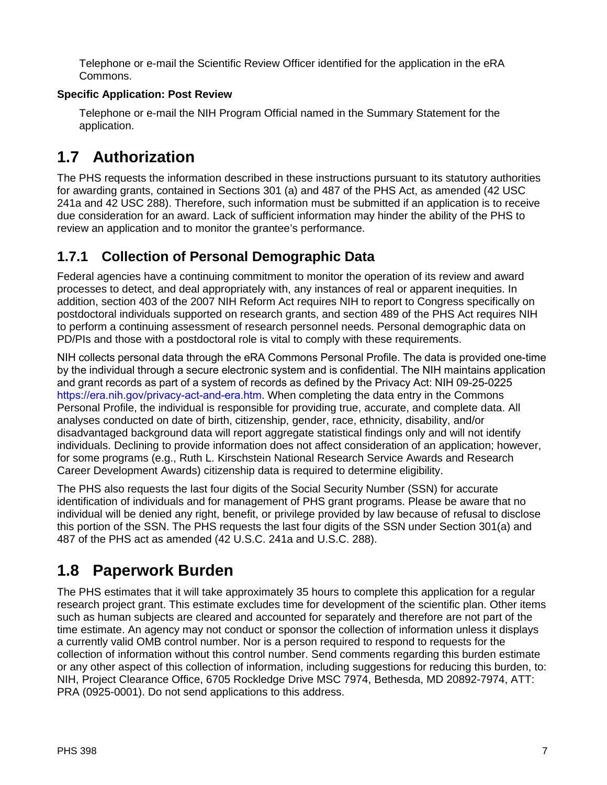Telephone or e-mail the Scientific Review Officer identified for the application in the eRA Commons.

#### **Specific Application: Post Review**

Telephone or e-mail the NIH Program Official named in the Summary Statement for the application.

## <span id="page-10-0"></span>**1.7 Authorization**

The PHS requests the information described in these instructions pursuant to its statutory authorities for awarding grants, contained in Sections 301 (a) and 487 of the PHS Act, as amended (42 USC 241a and 42 USC 288). Therefore, such information must be submitted if an application is to receive due consideration for an award. Lack of sufficient information may hinder the ability of the PHS to review an application and to monitor the grantee's performance.

## <span id="page-10-1"></span>**1.7.1 Collection of Personal Demographic Data**

Federal agencies have a continuing commitment to monitor the operation of its review and award processes to detect, and deal appropriately with, any instances of real or apparent inequities. In addition, section 403 of the 2007 NIH Reform Act requires NIH to report to Congress specifically on postdoctoral individuals supported on research grants, and section 489 of the PHS Act requires NIH to perform a continuing assessment of research personnel needs. Personal demographic data on PD/PIs and those with a postdoctoral role is vital to comply with these requirements.

NIH collects personal data through the eRA Commons Personal Profile. The data is provided one-time by the individual through a secure electronic system and is confidential. The NIH maintains application and grant records as part of a system of records as defined by the Privacy Act: NIH 09-25-0225 <https://era.nih.gov/privacy-act-and-era.htm>. When completing the data entry in the Commons Personal Profile, the individual is responsible for providing true, accurate, and complete data. All analyses conducted on date of birth, citizenship, gender, race, ethnicity, disability, and/or disadvantaged background data will report aggregate statistical findings only and will not identify individuals. Declining to provide information does not affect consideration of an application; however, for some programs (e.g., Ruth L. Kirschstein National Research Service Awards and Research Career Development Awards) citizenship data is required to determine eligibility.

The PHS also requests the last four digits of the Social Security Number (SSN) for accurate identification of individuals and for management of PHS grant programs. Please be aware that no individual will be denied any right, benefit, or privilege provided by law because of refusal to disclose this portion of the SSN. The PHS requests the last four digits of the SSN under Section 301(a) and 487 of the PHS act as amended (42 U.S.C. 241a and U.S.C. 288).

## <span id="page-10-2"></span>**1.8 Paperwork Burden**

The PHS estimates that it will take approximately 35 hours to complete this application for a regular research project grant. This estimate excludes time for development of the scientific plan. Other items such as human subjects are cleared and accounted for separately and therefore are not part of the time estimate. An agency may not conduct or sponsor the collection of information unless it displays a currently valid OMB control number. Nor is a person required to respond to requests for the collection of information without this control number. Send comments regarding this burden estimate or any other aspect of this collection of information, including suggestions for reducing this burden, to: NIH, Project Clearance Office, 6705 Rockledge Drive MSC 7974, Bethesda, MD 20892-7974, ATT: PRA (0925-0001). Do not send applications to this address.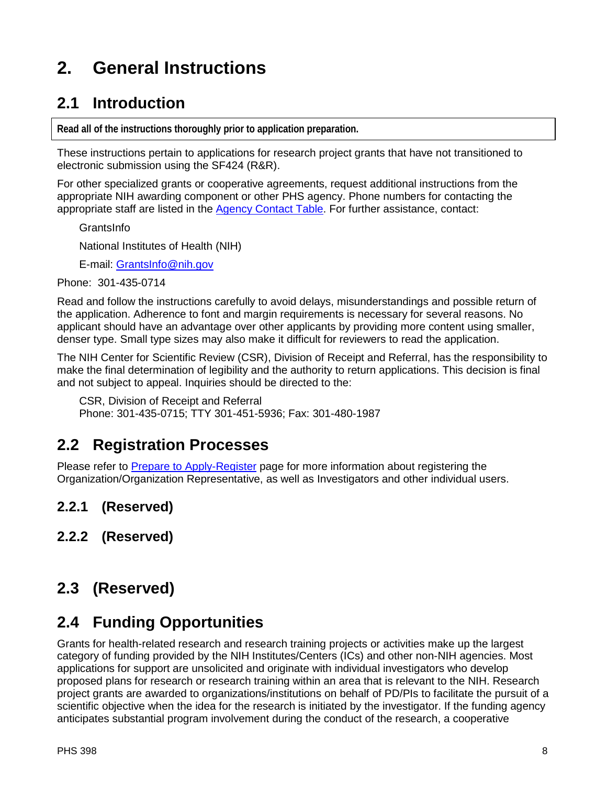## <span id="page-11-0"></span>**2. General Instructions**

## <span id="page-11-1"></span>**2.1 Introduction**

**Read all of the instructions thoroughly prior to application preparation.** 

These instructions pertain to applications for research project grants that have not transitioned to electronic submission using the SF424 (R&R).

For other specialized grants or cooperative agreements, request additional instructions from the appropriate NIH awarding component or other PHS agency. Phone numbers for contacting the appropriate staff are listed in the [Agency Contact Table.](#page-5-4) For further assistance, contact:

GrantsInfo

National Institutes of Health (NIH)

E-mail: [GrantsInfo@nih.gov](mailto:grantsinfo@nih.gov)

Phone: 301-435-0714

Read and follow the instructions carefully to avoid delays, misunderstandings and possible return of the application. Adherence to font and margin requirements is necessary for several reasons. No applicant should have an advantage over other applicants by providing more content using smaller, denser type. Small type sizes may also make it difficult for reviewers to read the application.

The NIH Center for Scientific Review (CSR), Division of Receipt and Referral, has the responsibility to make the final determination of legibility and the authority to return applications. This decision is final and not subject to appeal. Inquiries should be directed to the:

CSR, Division of Receipt and Referral Phone: 301-435-0715; TTY 301-451-5936; Fax: 301-480-1987

## <span id="page-11-2"></span>**2.2 Registration Processes**

Please refer to [Prepare to Apply-Register](https://grants.nih.gov/grants/how-to-apply-application-guide/prepare-to-apply-and-register/register.htm) page for more information about registering the Organization/Organization Representative, as well as Investigators and other individual users.

- <span id="page-11-3"></span>**2.2.1 (Reserved)**
- <span id="page-11-4"></span>**2.2.2 (Reserved)**

## <span id="page-11-5"></span>**2.3 (Reserved)**

## <span id="page-11-6"></span>**2.4 Funding Opportunities**

Grants for health-related research and research training projects or activities make up the largest category of funding provided by the NIH Institutes/Centers (ICs) and other non-NIH agencies. Most applications for support are unsolicited and originate with individual investigators who develop proposed plans for research or research training within an area that is relevant to the NIH. Research project grants are awarded to organizations/institutions on behalf of PD/PIs to facilitate the pursuit of a scientific objective when the idea for the research is initiated by the investigator. If the funding agency anticipates substantial program involvement during the conduct of the research, a cooperative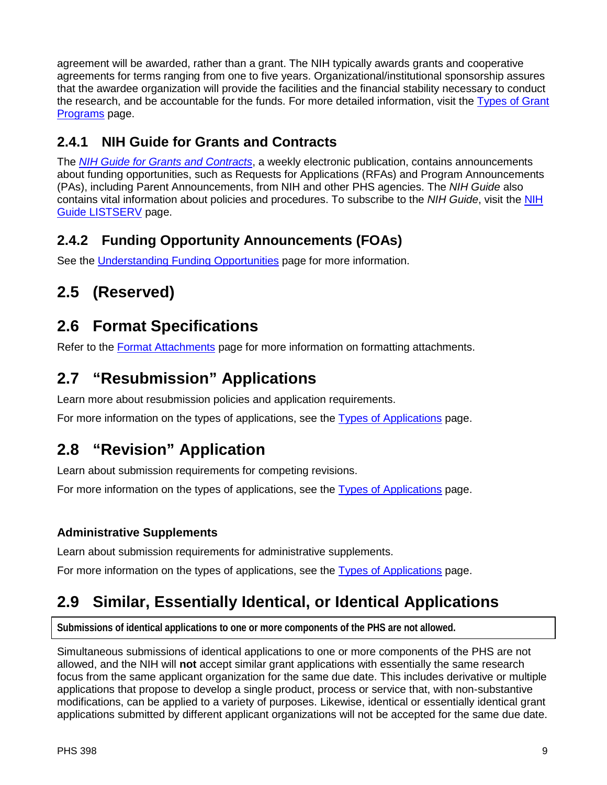agreement will be awarded, rather than a grant. The NIH typically awards grants and cooperative agreements for terms ranging from one to five years. Organizational/institutional sponsorship assures that the awardee organization will provide the facilities and the financial stability necessary to conduct the research, and be accountable for the funds. For more detailed information, visit the [Types of Grant](http://grants.nih.gov/grants/funding/funding_program.htm)  [Programs](http://grants.nih.gov/grants/funding/funding_program.htm) page.

### <span id="page-12-0"></span>**2.4.1 NIH Guide for Grants and Contracts**

The *[NIH Guide for Grants and Contracts](http://grants.nih.gov/grants/guide)*, a weekly electronic publication, contains announcements about funding opportunities, such as Requests for Applications (RFAs) and Program Announcements (PAs), including Parent Announcements, from NIH and other PHS agencies. The *NIH Guide* also contains vital information about policies and procedures. To subscribe to the *NIH Guide*, visit the [NIH](http://grants.nih.gov/grants/guide/listserv.htm)  [Guide LISTSERV](http://grants.nih.gov/grants/guide/listserv.htm) page.

## <span id="page-12-1"></span>**2.4.2 Funding Opportunity Announcements (FOAs)**

See the [Understanding Funding Opportunities](https://grants.nih.gov/grants/how-to-apply-application-guide/prepare-to-apply-and-register/understand-funding-opportunities.htm) page for more information.

## <span id="page-12-2"></span>**2.5 (Reserved)**

## <span id="page-12-3"></span>**2.6 Format Specifications**

Refer to the **Format Attachments** page for more information on formatting attachments.

## <span id="page-12-4"></span>**2.7 "Resubmission" Applications**

Learn more about resubmission policies and application requirements.

For more information on the types of applications, see the **Types of Applications** page.

## <span id="page-12-5"></span>**2.8 "Revision" Application**

Learn about submission requirements for competing revisions.

For more information on the types of applications, see the [Types of Applications](https://grants.nih.gov/grants/how-to-apply-application-guide/prepare-to-apply-and-register/type-of-applications.htm) page.

### **Administrative Supplements**

Learn about submission requirements for administrative supplements.

For more information on the types of applications, see the [Types of Applications](https://grants.nih.gov/grants/how-to-apply-application-guide/prepare-to-apply-and-register/type-of-applications.htm) page.

## <span id="page-12-6"></span>**2.9 Similar, Essentially Identical, or Identical Applications**

**Submissions of identical applications to one or more components of the PHS are not allowed.** 

Simultaneous submissions of identical applications to one or more components of the PHS are not allowed, and the NIH will **not** accept similar grant applications with essentially the same research focus from the same applicant organization for the same due date. This includes derivative or multiple applications that propose to develop a single product, process or service that, with non-substantive modifications, can be applied to a variety of purposes. Likewise, identical or essentially identical grant applications submitted by different applicant organizations will not be accepted for the same due date.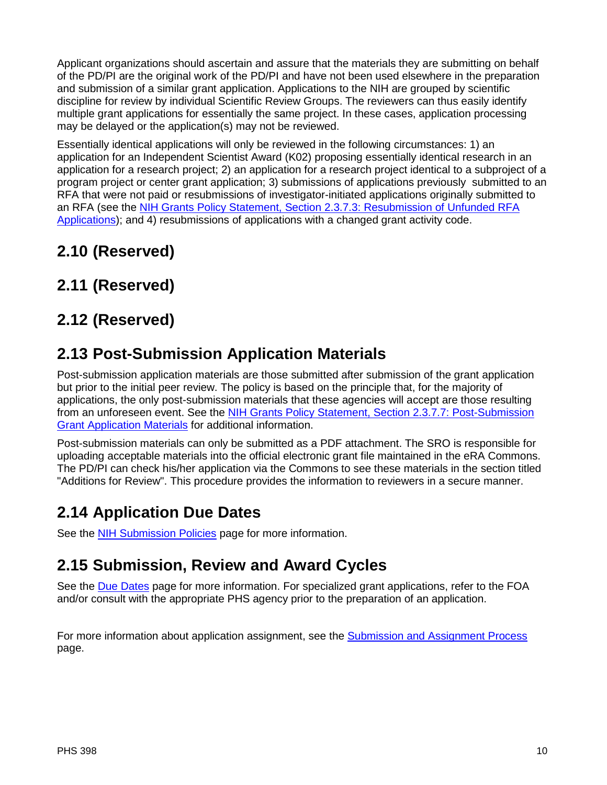Applicant organizations should ascertain and assure that the materials they are submitting on behalf of the PD/PI are the original work of the PD/PI and have not been used elsewhere in the preparation and submission of a similar grant application. Applications to the NIH are grouped by scientific discipline for review by individual Scientific Review Groups. The reviewers can thus easily identify multiple grant applications for essentially the same project. In these cases, application processing may be delayed or the application(s) may not be reviewed.

Essentially identical applications will only be reviewed in the following circumstances: 1) an application for an Independent Scientist Award (K02) proposing essentially identical research in an application for a research project; 2) an application for a research project identical to a subproject of a program project or center grant application; 3) submissions of applications previously submitted to an RFA that were not paid or resubmissions of investigator-initiated applications originally submitted to an RFA (see the NIH [Grants Policy Statement, Section 2.3.7.3: Resubmission of Unfunded RFA](https://grants.nih.gov/grants/policy/nihgps/HTML5/section_2/2.3_application_information_and_processes.htm?tocpath=2%20The%20National%20Institutes%20of%20Health%20as%20a%20Grant-Making%20Organization%7C2.3%20Application%20Information%20and%20Processes%7C2.3.7%20Policies%20Affecting%20Applications%7C_____3#2.3.7.3_Resubmission_of_Unfunded_RFA_Applications_..11)  [Applications\)](https://grants.nih.gov/grants/policy/nihgps/HTML5/section_2/2.3_application_information_and_processes.htm?tocpath=2%20The%20National%20Institutes%20of%20Health%20as%20a%20Grant-Making%20Organization%7C2.3%20Application%20Information%20and%20Processes%7C2.3.7%20Policies%20Affecting%20Applications%7C_____3#2.3.7.3_Resubmission_of_Unfunded_RFA_Applications_..11); and 4) resubmissions of applications with a changed grant activity code.

## <span id="page-13-0"></span>**2.10 (Reserved)**

## <span id="page-13-1"></span>**2.11 (Reserved)**

## <span id="page-13-2"></span>**2.12 (Reserved)**

## <span id="page-13-3"></span>**2.13 Post-Submission Application Materials**

Post-submission application materials are those submitted after submission of the grant application but prior to the initial peer review. The policy is based on the principle that, for the majority of applications, the only post-submission materials that these agencies will accept are those resulting from an unforeseen event. See the [NIH Grants Policy Statement, Section 2.3.7.7: Post-Submission](https://grants.nih.gov/grants/policy/nihgps/HTML5/section_2/2.3_application_information_and_processes.htm?tocpath=2%20The%20National%20Institutes%20of%20Health%20as%20a%20Grant-Making%20Organization%7C2.3%20Application%20Information%20and%20Processes%7C2.3.7%20Policies%20Affecting%20Applications%7C_____7#2.3.7.7_Post-Submission_Grant_Application_Materials_..15)  [Grant Application Materials](https://grants.nih.gov/grants/policy/nihgps/HTML5/section_2/2.3_application_information_and_processes.htm?tocpath=2%20The%20National%20Institutes%20of%20Health%20as%20a%20Grant-Making%20Organization%7C2.3%20Application%20Information%20and%20Processes%7C2.3.7%20Policies%20Affecting%20Applications%7C_____7#2.3.7.7_Post-Submission_Grant_Application_Materials_..15) for additional information.

Post-submission materials can only be submitted as a PDF attachment. The SRO is responsible for uploading acceptable materials into the official electronic grant file maintained in the eRA Commons. The PD/PI can check his/her application via the Commons to see these materials in the section titled "Additions for Review". This procedure provides the information to reviewers in a secure manner.

## <span id="page-13-4"></span>**2.14 Application Due Dates**

See the **NIH Submission Policies** page for more information.

## <span id="page-13-5"></span>**2.15 Submission, Review and Award Cycles**

See the [Due Dates](https://grants.nih.gov/grants/how-to-apply-application-guide/due-dates-and-submission-policies/due-dates.htm) page for more information. For specialized grant applications, refer to the FOA and/or consult with the appropriate PHS agency prior to the preparation of an application.

For more information about application assignment, see the [Submission and Assignment Process](https://public.csr.nih.gov/ApplicantResources/PlanningWritingSubmitting/Pages/Submission-and-Assignment-Process.aspx) page.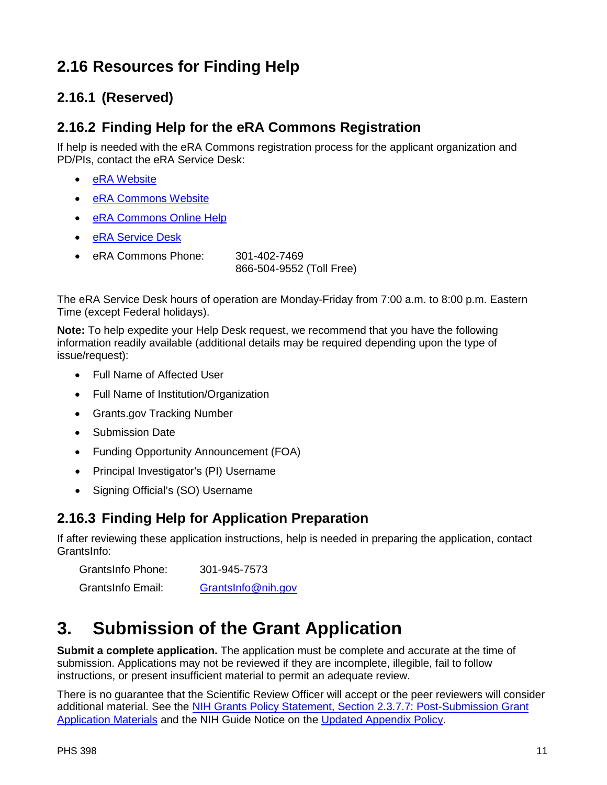## <span id="page-14-0"></span>**2.16 Resources for Finding Help**

## <span id="page-14-1"></span>**2.16.1 (Reserved)**

### <span id="page-14-2"></span>**2.16.2 Finding Help for the eRA Commons Registration**

If help is needed with the eRA Commons registration process for the applicant organization and PD/PIs, contact the eRA Service Desk:

- [eRA Website](http://era.nih.gov/)
- [eRA Commons Website](https://commons.era.nih.gov/commons/index.jsp)
- [eRA Commons Online Help](https://era.nih.gov/erahelp/commons/)
- [eRA Service Desk](http://grants.nih.gov/support)
- eRA Commons Phone: 301-402-7469 866-504-9552 (Toll Free)

The eRA Service Desk hours of operation are Monday-Friday from 7:00 a.m. to 8:00 p.m. Eastern Time (except Federal holidays).

**Note:** To help expedite your Help Desk request, we recommend that you have the following information readily available (additional details may be required depending upon the type of issue/request):

- Full Name of Affected User
- Full Name of Institution/Organization
- Grants.gov Tracking Number
- Submission Date
- Funding Opportunity Announcement (FOA)
- Principal Investigator's (PI) Username
- Signing Official's (SO) Username

### <span id="page-14-3"></span>**2.16.3 Finding Help for Application Preparation**

If after reviewing these application instructions, help is needed in preparing the application, contact GrantsInfo:

| <b>GrantsInfo Phone:</b> | 301-945-7573       |
|--------------------------|--------------------|
| GrantsInfo Email:        | GrantsInfo@nih.gov |

## <span id="page-14-4"></span>**3. Submission of the Grant Application**

**Submit a complete application.** The application must be complete and accurate at the time of submission. Applications may not be reviewed if they are incomplete, illegible, fail to follow instructions, or present insufficient material to permit an adequate review.

There is no guarantee that the Scientific Review Officer will accept or the peer reviewers will consider additional material. See the [NIH Grants Policy Statement, Section 2.3.7.7: Post-Submission Grant](https://grants.nih.gov/grants/policy/nihgps/HTML5/section_2/2.3_application_information_and_processes.htm?tocpath=2%20The%20National%20Institutes%20of%20Health%20as%20a%20Grant-Making%20Organization%7C2.3%20Application%20Information%20and%20Processes%7C2.3.7%20Policies%20Affecting%20Applications%7C_____7#2.3.7.7_Post-Submission_Grant_Application_Materials_..15)  [Application Materials](https://grants.nih.gov/grants/policy/nihgps/HTML5/section_2/2.3_application_information_and_processes.htm?tocpath=2%20The%20National%20Institutes%20of%20Health%20as%20a%20Grant-Making%20Organization%7C2.3%20Application%20Information%20and%20Processes%7C2.3.7%20Policies%20Affecting%20Applications%7C_____7#2.3.7.7_Post-Submission_Grant_Application_Materials_..15) and the NIH Guide Notice on the [Updated Appendix Policy.](https://grants.nih.gov/grants/guide/notice-files/NOT-OD-17-098.html)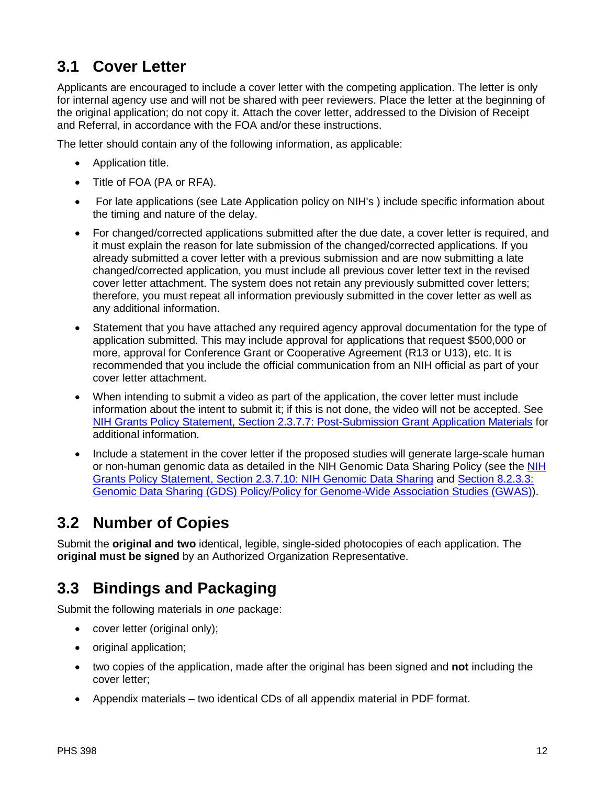## <span id="page-15-0"></span>**3.1 Cover Letter**

Applicants are encouraged to include a cover letter with the competing application. The letter is only for internal agency use and will not be shared with peer reviewers. Place the letter at the beginning of the original application; do not copy it. Attach the cover letter, addressed to the Division of Receipt and Referral, in accordance with the FOA and/or these instructions.

The letter should contain any of the following information, as applicable:

- Application title.
- Title of FOA (PA or RFA).
- For late applications (see Late Application policy on NIH's) include specific information about the timing and nature of the delay.
- For changed/corrected applications submitted after the due date, a cover letter is required, and it must explain the reason for late submission of the changed/corrected applications. If you already submitted a cover letter with a previous submission and are now submitting a late changed/corrected application, you must include all previous cover letter text in the revised cover letter attachment. The system does not retain any previously submitted cover letters; therefore, you must repeat all information previously submitted in the cover letter as well as any additional information.
- Statement that you have attached any required agency approval documentation for the type of application submitted. This may include approval for applications that request \$500,000 or more, approval for Conference Grant or Cooperative Agreement (R13 or U13), etc. It is recommended that you include the official communication from an NIH official as part of your cover letter attachment.
- When intending to submit a video as part of the application, the cover letter must include information about the intent to submit it; if this is not done, the video will not be accepted. See [NIH Grants Policy Statement, Section 2.3.7.7: Post-Submission Grant Application Materials](https://grants.nih.gov/grants/policy/nihgps/HTML5/section_2/2.3_application_information_and_processes.htm#Policies) for additional information.
- Include a statement in the cover letter if the proposed studies will generate large-scale human or non-human genomic data as detailed in the NIH Genomic Data Sharing Policy (see the [NIH](https://grants.nih.gov/grants/policy/nihgps/HTML5/section_2/2.3_application_information_and_processes.htm#Policies) [Grants Policy Statement, Section 2.3.7.10: NIH Genomic Data Sharing](https://grants.nih.gov/grants/policy/nihgps/HTML5/section_2/2.3_application_information_and_processes.htm#Policies) and [Section 8.2.3.3:](https://grants.nih.gov/grants/policy/nihgps/HTML5/section_8/8.2_availability_of_research_results_publications__intellectual_property_rights__and_sharing_research_resources.htm#Sharing) Genomic Data Sharing (GDS) [Policy/Policy for Genome-Wide Association Studies \(GWAS\)\)](https://grants.nih.gov/grants/policy/nihgps/HTML5/section_8/8.2_availability_of_research_results_publications__intellectual_property_rights__and_sharing_research_resources.htm#Sharing).

## <span id="page-15-1"></span>**3.2 Number of Copies**

Submit the **original and two** identical, legible, single-sided photocopies of each application. The **original must be signed** by an Authorized Organization Representative.

## <span id="page-15-2"></span>**3.3 Bindings and Packaging**

Submit the following materials in *one* package:

- cover letter (original only);
- original application;
- two copies of the application, made after the original has been signed and **not** including the cover letter;
- Appendix materials two identical CDs of all appendix material in PDF format.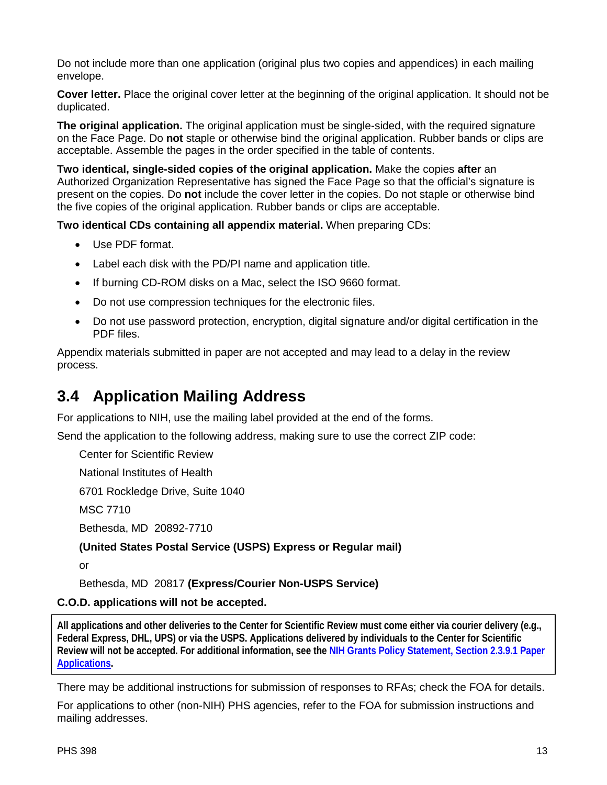Do not include more than one application (original plus two copies and appendices) in each mailing envelope.

**Cover letter.** Place the original cover letter at the beginning of the original application. It should not be duplicated.

**The original application.** The original application must be single-sided, with the required signature on the Face Page. Do **not** staple or otherwise bind the original application. Rubber bands or clips are acceptable. Assemble the pages in the order specified in the table of contents.

**Two identical, single-sided copies of the original application.** Make the copies **after** an Authorized Organization Representative has signed the Face Page so that the official's signature is present on the copies. Do **not** include the cover letter in the copies. Do not staple or otherwise bind the five copies of the original application. Rubber bands or clips are acceptable.

**Two identical CDs containing all appendix material.** When preparing CDs:

- Use PDF format.
- Label each disk with the PD/PI name and application title.
- If burning CD-ROM disks on a Mac, select the ISO 9660 format.
- Do not use compression techniques for the electronic files.
- Do not use password protection, encryption, digital signature and/or digital certification in the PDF files.

Appendix materials submitted in paper are not accepted and may lead to a delay in the review process.

## <span id="page-16-0"></span>**3.4 Application Mailing Address**

For applications to NIH, use the mailing label provided at the end of the forms.

Send the application to the following address, making sure to use the correct ZIP code:

Center for Scientific Review

National Institutes of Health

6701 Rockledge Drive, Suite 1040

MSC 7710

Bethesda, MD 20892-7710

**(United States Postal Service (USPS) Express or Regular mail)**

or

Bethesda, MD 20817 **(Express/Courier Non-USPS Service)**

#### **C.O.D. applications will not be accepted.**

**All applications and other deliveries to the Center for Scientific Review must come either via courier delivery (e.g., Federal Express, DHL, UPS) or via the USPS. Applications delivered by individuals to the Center for Scientific Review will not be accepted. For additional information, see the [NIH Grants Policy Statement, Section 2.3.9.1 Paper](https://grants.nih.gov/grants/policy/nihgps/HTML5/section_2/2.3_application_information_and_processes.htm?tocpath=2%20The%20National%20Institutes%20of%20Health%20as%20a%20Grant-Making%20Organization%7C2.3%20Application%20Information%20and%20Processes%7C2.3.9%20Application%20Receipt%20Information%20and%20Deadlines%7C_____1#2.3.9.1_Paper_Applications_..21)  [Applications.](https://grants.nih.gov/grants/policy/nihgps/HTML5/section_2/2.3_application_information_and_processes.htm?tocpath=2%20The%20National%20Institutes%20of%20Health%20as%20a%20Grant-Making%20Organization%7C2.3%20Application%20Information%20and%20Processes%7C2.3.9%20Application%20Receipt%20Information%20and%20Deadlines%7C_____1#2.3.9.1_Paper_Applications_..21)** 

There may be additional instructions for submission of responses to RFAs; check the FOA for details.

For applications to other (non-NIH) PHS agencies, refer to the FOA for submission instructions and mailing addresses.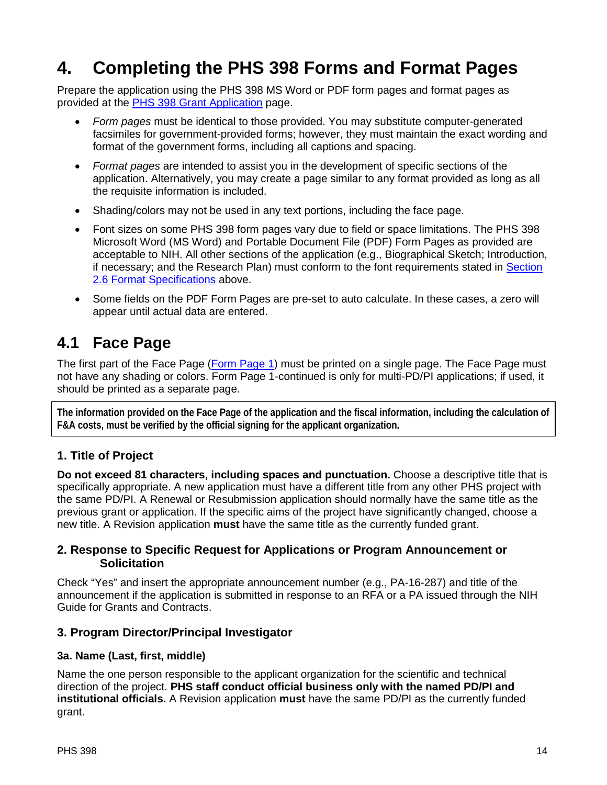## <span id="page-17-0"></span>**4. Completing the PHS 398 Forms and Format Pages**

Prepare the application using the PHS 398 MS Word or PDF form pages and format pages as provided at the **PHS 398 Grant Application** page.

- *Form pages* must be identical to those provided. You may substitute computer-generated facsimiles for government-provided forms; however, they must maintain the exact wording and format of the government forms, including all captions and spacing.
- *Format pages* are intended to assist you in the development of specific sections of the application. Alternatively, you may create a page similar to any format provided as long as all the requisite information is included.
- Shading/colors may not be used in any text portions, including the face page.
- Font sizes on some PHS 398 form pages vary due to field or space limitations. The PHS 398 Microsoft Word (MS Word) and Portable Document File (PDF) Form Pages as provided are acceptable to NIH. All other sections of the application (e.g., Biographical Sketch; Introduction, if necessary; and the Research Plan) must conform to the font requirements stated in [Section](#page-12-3) [2.6 Format Specifications](#page-12-3) above.
- Some fields on the PDF Form Pages are pre-set to auto calculate. In these cases, a zero will appear until actual data are entered.

## <span id="page-17-1"></span>**4.1 Face Page**

The first part of the Face Page [\(Form Page 1\)](http://grants.nih.gov/grants/funding/phs398/phs398.html) must be printed on a single page. The Face Page must not have any shading or colors. Form Page 1-continued is only for multi-PD/PI applications; if used, it should be printed as a separate page.

**The information provided on the Face Page of the application and the fiscal information, including the calculation of F&A costs, must be verified by the official signing for the applicant organization.** 

#### **1. Title of Project**

**Do not exceed 81 characters, including spaces and punctuation.** Choose a descriptive title that is specifically appropriate. A new application must have a different title from any other PHS project with the same PD/PI. A Renewal or Resubmission application should normally have the same title as the previous grant or application. If the specific aims of the project have significantly changed, choose a new title. A Revision application **must** have the same title as the currently funded grant.

#### **2. Response to Specific Request for Applications or Program Announcement or Solicitation**

Check "Yes" and insert the appropriate announcement number (e.g., PA-16-287) and title of the announcement if the application is submitted in response to an RFA or a PA issued through the NIH Guide for Grants and Contracts.

#### **3. Program Director/Principal Investigator**

#### **3a. Name (Last, first, middle)**

Name the one person responsible to the applicant organization for the scientific and technical direction of the project. **PHS staff conduct official business only with the named PD/PI and institutional officials.** A Revision application **must** have the same PD/PI as the currently funded grant.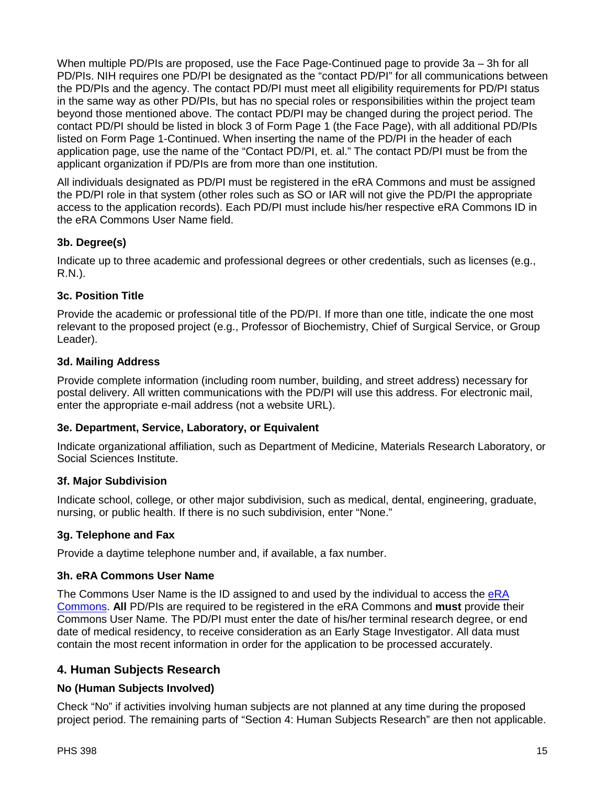When multiple PD/PIs are proposed, use the Face Page-Continued page to provide 3a – 3h for all PD/PIs. NIH requires one PD/PI be designated as the "contact PD/PI" for all communications between the PD/PIs and the agency. The contact PD/PI must meet all eligibility requirements for PD/PI status in the same way as other PD/PIs, but has no special roles or responsibilities within the project team beyond those mentioned above. The contact PD/PI may be changed during the project period. The contact PD/PI should be listed in block 3 of Form Page 1 (the Face Page), with all additional PD/PIs listed on Form Page 1-Continued. When inserting the name of the PD/PI in the header of each application page, use the name of the "Contact PD/PI, et. al." The contact PD/PI must be from the applicant organization if PD/PIs are from more than one institution.

All individuals designated as PD/PI must be registered in the eRA Commons and must be assigned the PD/PI role in that system (other roles such as SO or IAR will not give the PD/PI the appropriate access to the application records). Each PD/PI must include his/her respective eRA Commons ID in the eRA Commons User Name field.

#### **3b. Degree(s)**

Indicate up to three academic and professional degrees or other credentials, such as licenses (e.g., R.N.).

#### **3c. Position Title**

Provide the academic or professional title of the PD/PI. If more than one title, indicate the one most relevant to the proposed project (e.g., Professor of Biochemistry, Chief of Surgical Service, or Group Leader).

#### **3d. Mailing Address**

Provide complete information (including room number, building, and street address) necessary for postal delivery. All written communications with the PD/PI will use this address. For electronic mail, enter the appropriate e-mail address (not a website URL).

#### **3e. Department, Service, Laboratory, or Equivalent**

Indicate organizational affiliation, such as Department of Medicine, Materials Research Laboratory, or Social Sciences Institute.

#### **3f. Major Subdivision**

Indicate school, college, or other major subdivision, such as medical, dental, engineering, graduate, nursing, or public health. If there is no such subdivision, enter "None."

#### **3g. Telephone and Fax**

Provide a daytime telephone number and, if available, a fax number.

### **3h. eRA Commons User Name**

The Commons User Name is the ID assigned to and used by the individual to access the eRA [Commons.](https://commons.era.nih.gov/commons/) **All** PD/PIs are required to be registered in the eRA Commons and **must** provide their Commons User Name. The PD/PI must enter the date of his/her terminal research degree, or end date of medical residency, to receive consideration as an Early Stage Investigator. All data must contain the most recent information in order for the application to be processed accurately.

### **4. Human Subjects Research**

### **No (Human Subjects Involved)**

Check "No" if activities involving human subjects are not planned at any time during the proposed project period. The remaining parts of "Section 4: Human Subjects Research" are then not applicable.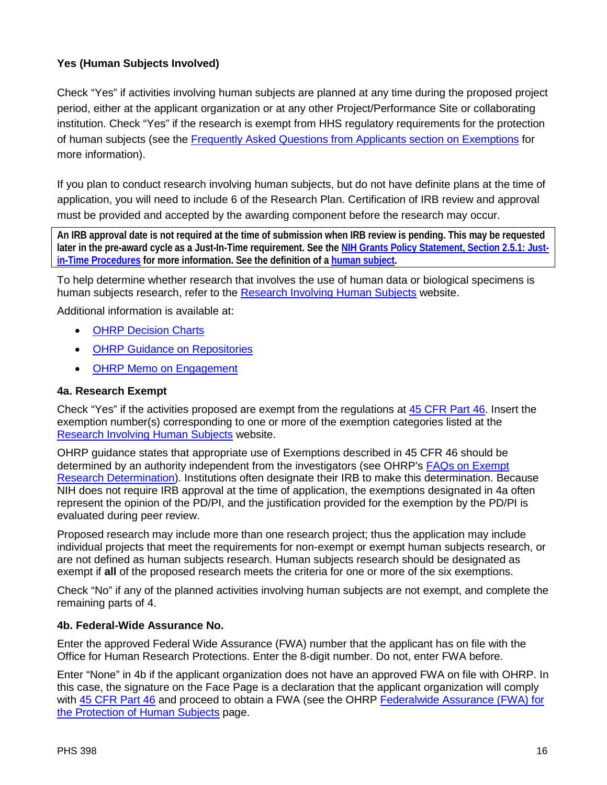#### **Yes (Human Subjects Involved)**

Check "Yes" if activities involving human subjects are planned at any time during the proposed project period, either at the applicant organization or at any other Project/Performance Site or collaborating institution. Check "Yes" if the research is exempt from HHS regulatory requirements for the protection of human subjects (see the [Frequently Asked Questions from Applicants section on](https://humansubjects.nih.gov/from-applicants#exemptions) Exemptions for more information).

If you plan to conduct research involving human subjects, but do not have definite plans at the time of application, you will need to include 6 of the Research Plan. Certification of IRB review and approval must be provided and accepted by the awarding component before the research may occur.

**An IRB approval date is not required at the time of submission when IRB review is pending. This may be requested later in the pre-award cycle as a Just-In-Time requirement. See the [NIH Grants Policy Statement, Section 2.5.1: Just](https://grants.nih.gov/grants/policy/nihgps/HTML5/section_2/2.5_completing_the_pre-award_process.htm#Just-in-)[in-Time Procedures](https://grants.nih.gov/grants/policy/nihgps/HTML5/section_2/2.5_completing_the_pre-award_process.htm#Just-in-) for more information. See the definition of a [human subject.](https://grants.nih.gov/grants/glossary.htm#HumanSubject)** 

To help determine whether research that involves the use of human data or biological specimens is human subjects research, refer to the [Research Involving Human Subjects](https://humansubjects.nih.gov/) website.

Additional information is available at:

- **[OHRP Decision Charts](https://www.hhs.gov/ohrp/regulations-and-policy/decision-charts/index.html)**
- [OHRP Guidance on Repositories](https://www.hhs.gov/ohrp/regulations-and-policy/guidance/issues-to-consider-in-use-of-stored-data-or-tissues/index.html)
- [OHRP Memo on Engagement](https://www.hhs.gov/ohrp/regulations-and-policy/guidance/guidance-on-engagement-of-institutions/index.html)

#### **4a. Research Exempt**

Check "Yes" if the activities proposed are exempt from the regulations at [45 CFR Part 46.](http://www.hhs.gov/ohrp/humansubjects/guidance/45cfr46.html) Insert the exemption number(s) corresponding to one or more of the exemption categories listed at the [Research Involving Human Subjects](https://humansubjects.nih.gov/) website.

OHRP guidance states that appropriate use of Exemptions described in 45 CFR 46 should be determined by an authority independent from the investigators (see OHRP's [FAQs on Exempt](https://www.hhs.gov/ohrp/regulations-and-policy/guidance/faq/exempt-research-determination/index.html)  [Research Determination\)](https://www.hhs.gov/ohrp/regulations-and-policy/guidance/faq/exempt-research-determination/index.html). Institutions often designate their IRB to make this determination. Because NIH does not require IRB approval at the time of application, the exemptions designated in 4a often represent the opinion of the PD/PI, and the justification provided for the exemption by the PD/PI is evaluated during peer review.

Proposed research may include more than one research project; thus the application may include individual projects that meet the requirements for non-exempt or exempt human subjects research, or are not defined as human subjects research. Human subjects research should be designated as exempt if **all** of the proposed research meets the criteria for one or more of the six exemptions.

Check "No" if any of the planned activities involving human subjects are not exempt, and complete the remaining parts of 4.

#### **4b. Federal-Wide Assurance No.**

Enter the approved Federal Wide Assurance (FWA) number that the applicant has on file with the Office for Human Research Protections. Enter the 8-digit number. Do not, enter FWA before.

Enter "None" in 4b if the applicant organization does not have an approved FWA on file with OHRP. In this case, the signature on the Face Page is a declaration that the applicant organization will comply with [45 CFR Part 46](http://www.hhs.gov/ohrp/humansubjects/guidance/45cfr46.html) and proceed to obtain a FWA (see the OHRP Federalwide Assurance (FWA) for [the Protection of Human Subjects](https://www.hhs.gov/ohrp/register-irbs-and-obtain-fwas/fwas/fwa-protection-of-human-subjecct/index.html) page.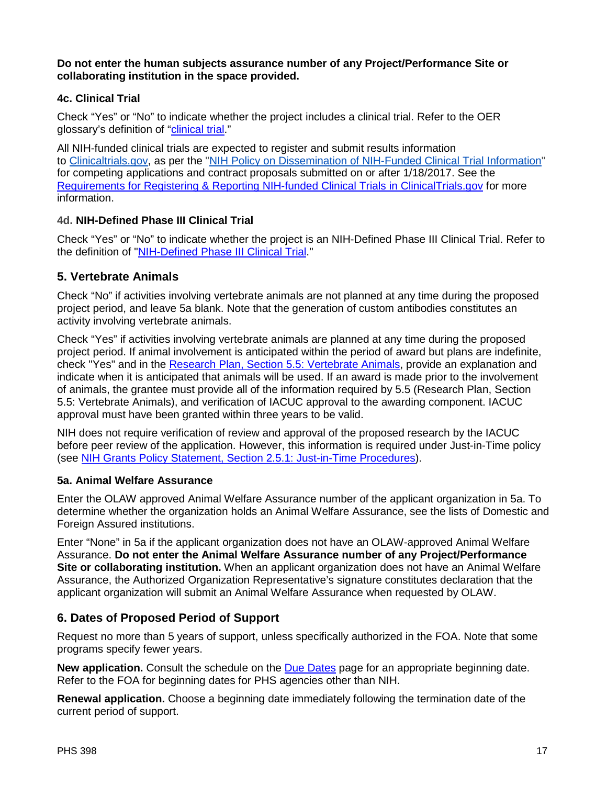#### **Do not enter the human subjects assurance number of any Project/Performance Site or collaborating institution in the space provided.**

#### **4c. Clinical Trial**

Check "Yes" or "No" to indicate whether the project includes a clinical trial. Refer to the OER glossary's definition of ["clinical trial.](https://grants.nih.gov/grants/glossary.htm#ClinicalTrial)"

All NIH-funded clinical trials are expected to register and submit results information to [Clinicaltrials.gov,](https://clinicaltrials.gov/ct2/home) as per the ["NIH Policy on Dissemination of NIH-Funded Clinical Trial Information"](https://grants.nih.gov/policy/clinical-trials/reporting/understanding/nih-policy.htm) for competing applications and contract proposals submitted on or after 1/18/2017. See the [Requirements for Registering & Reporting NIH-funded Clinical Trials in ClinicalTrials.gov](https://grants.nih.gov/policy/clinical-trials/reporting/index.htm) for more information.

#### **4d. NIH-Defined Phase III Clinical Trial**

Check "Yes" or "No" to indicate whether the project is an NIH-Defined Phase III Clinical Trial. Refer to the definition of ["NIH-Defined Phase III Clinical Trial.](https://grants.nih.gov/grants/glossary.htm#NIHDefinedPhaseIIIClinicalTrial)"

#### **5. Vertebrate Animals**

Check "No" if activities involving vertebrate animals are not planned at any time during the proposed project period, and leave 5a blank. Note that the generation of custom antibodies constitutes an activity involving vertebrate animals.

Check "Yes" if activities involving vertebrate animals are planned at any time during the proposed project period. If animal involvement is anticipated within the period of award but plans are indefinite, check "Yes" and in the [Research Plan, Section 5.5: Vertebrate Animals,](#page-39-0) provide an explanation and indicate when it is anticipated that animals will be used. If an award is made prior to the involvement of animals, the grantee must provide all of the information required by 5.5 (Research Plan, Section 5.5: Vertebrate Animals), and verification of IACUC approval to the awarding component. IACUC approval must have been granted within three years to be valid.

NIH does not require verification of review and approval of the proposed research by the IACUC before peer review of the application. However, this information is required under Just-in-Time policy (see [NIH Grants Policy Statement, Section 2.5.1: Just-in-Time Procedures\)](https://grants.nih.gov/grants/policy/nihgps/HTML5/section_2/2.5_completing_the_pre-award_process.htm?tocpath=2%20The%20National%20Institutes%20of%20Health%20as%20a%20Grant-Making%20Organization%7C2.5%20Completing%20the%20Pre-Award%20Process%7C_____1#2.5.1_Just-in-Time_Procedures).

#### **5a. Animal Welfare Assurance**

Enter the OLAW approved Animal Welfare Assurance number of the applicant organization in 5a. To determine whether the organization holds an Animal Welfare Assurance, see [the](http://grants.nih.gov/grants/olaw/olaw.htm#assur) lists of Domestic and Foreign Assured institutions.

Enter "None" in 5a if the applicant organization does not have an OLAW-approved Animal Welfare Assurance. **Do not enter the Animal Welfare Assurance number of any Project/Performance Site or collaborating institution.** When an applicant organization does not have an Animal Welfare Assurance, the Authorized Organization Representative's signature constitutes declaration that the applicant organization will submit an Animal Welfare Assurance when requested by OLAW.

### **6. Dates of Proposed Period of Support**

Request no more than 5 years of support, unless specifically authorized in the FOA. Note that some programs specify fewer years.

**New application.** Consult the schedule on the [Due Dates](https://grants.nih.gov/grants/how-to-apply-application-guide/due-dates-and-submission-policies/due-dates.htm) page for an appropriate beginning date. Refer to the FOA for beginning dates for PHS agencies other than NIH.

**Renewal application.** Choose a beginning date immediately following the termination date of the current period of support.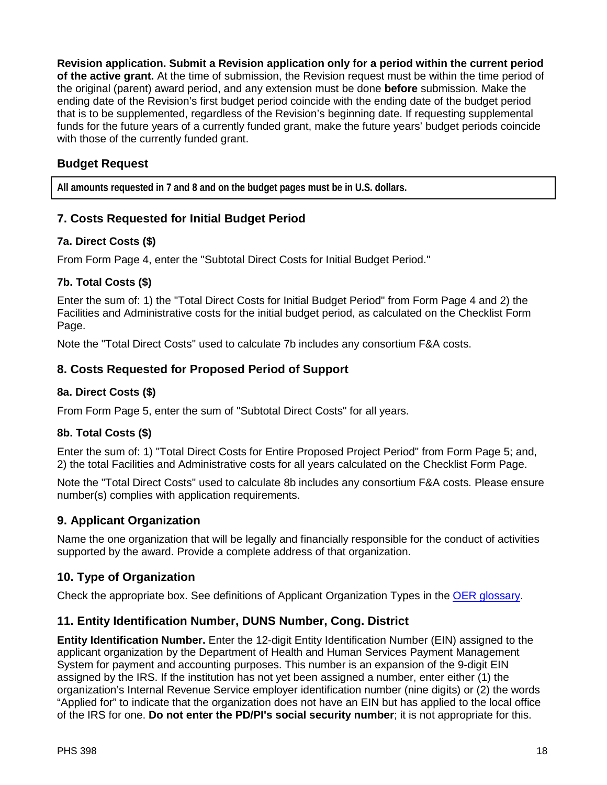**Revision application. Submit a Revision application only for a period within the current period of the active grant.** At the time of submission, the Revision request must be within the time period of the original (parent) award period, and any extension must be done **before** submission. Make the ending date of the Revision's first budget period coincide with the ending date of the budget period that is to be supplemented, regardless of the Revision's beginning date. If requesting supplemental funds for the future years of a currently funded grant, make the future years' budget periods coincide with those of the currently funded grant.

### **Budget Request**

**All amounts requested in 7 and 8 and on the budget pages must be in U.S. dollars.**

### **7. Costs Requested for Initial Budget Period**

#### **7a. Direct Costs (\$)**

From Form Page 4, enter the "Subtotal Direct Costs for Initial Budget Period."

### **7b. Total Costs (\$)**

Enter the sum of: 1) the "Total Direct Costs for Initial Budget Period" from Form Page 4 and 2) the Facilities and Administrative costs for the initial budget period, as calculated on the Checklist Form Page.

Note the "Total Direct Costs" used to calculate 7b includes any consortium F&A costs.

### **8. Costs Requested for Proposed Period of Support**

#### **8a. Direct Costs (\$)**

From Form Page 5, enter the sum of "Subtotal Direct Costs" for all years.

#### **8b. Total Costs (\$)**

Enter the sum of: 1) "Total Direct Costs for Entire Proposed Project Period" from Form Page 5; and, 2) the total Facilities and Administrative costs for all years calculated on the Checklist Form Page.

Note the "Total Direct Costs" used to calculate 8b includes any consortium F&A costs. Please ensure number(s) complies with application requirements.

### **9. Applicant Organization**

Name the one organization that will be legally and financially responsible for the conduct of activities supported by the award. Provide a complete address of that organization.

### **10. Type of Organization**

Check the appropriate box. See definitions of Applicant Organization Types in the [OER glossary.](https://grants.nih.gov/grants/glossary.htm)

### **11. Entity Identification Number, DUNS Number, Cong. District**

**Entity Identification Number.** Enter the 12-digit Entity Identification Number (EIN) assigned to the applicant organization by the Department of Health and Human Services Payment Management System for payment and accounting purposes. This number is an expansion of the 9-digit EIN assigned by the IRS. If the institution has not yet been assigned a number, enter either (1) the organization's Internal Revenue Service employer identification number (nine digits) or (2) the words "Applied for" to indicate that the organization does not have an EIN but has applied to the local office of the IRS for one. **Do not enter the PD/PI's social security number**; it is not appropriate for this.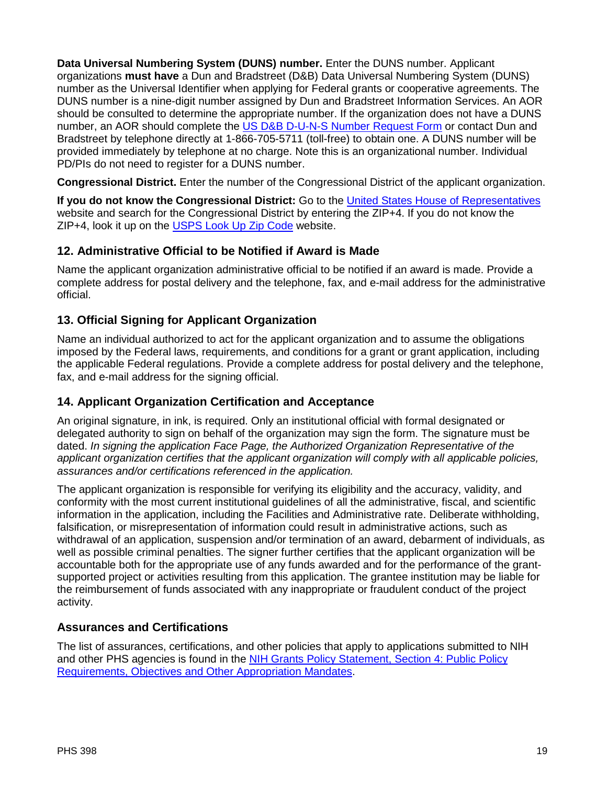**Data Universal Numbering System (DUNS) number.** Enter the DUNS number. Applicant organizations **must have** a Dun and Bradstreet (D&B) Data Universal Numbering System (DUNS) number as the Universal Identifier when applying for Federal grants or cooperative agreements. The DUNS number is a nine-digit number assigned by Dun and Bradstreet Information Services. An AOR should be consulted to determine the appropriate number. If the organization does not have a DUNS number, an AOR should complete the [US D&B D-U-N-S Number Request Form](http://fedgov.dnb.com/webform) or contact Dun and Bradstreet by telephone directly at 1-866-705-5711 (toll-free) to obtain one. A DUNS number will be provided immediately by telephone at no charge. Note this is an organizational number. Individual PD/PIs do not need to register for a DUNS number.

**Congressional District.** Enter the number of the Congressional District of the applicant organization.

**If you do not know the Congressional District:** Go to the [United States House of Representatives](http://www.house.gov/) website and search for the Congressional District by entering the ZIP+4. If you do not know the ZIP+4, look it up on the [USPS Look Up Zip Code](https://tools.usps.com/go/ZipLookupAction!input.action) website.

#### **12. Administrative Official to be Notified if Award is Made**

Name the applicant organization administrative official to be notified if an award is made. Provide a complete address for postal delivery and the telephone, fax, and e-mail address for the administrative official.

### **13. Official Signing for Applicant Organization**

Name an individual authorized to act for the applicant organization and to assume the obligations imposed by the Federal laws, requirements, and conditions for a grant or grant application, including the applicable Federal regulations. Provide a complete address for postal delivery and the telephone, fax, and e-mail address for the signing official.

#### **14. Applicant Organization Certification and Acceptance**

An original signature, in ink, is required. Only an institutional official with formal designated or delegated authority to sign on behalf of the organization may sign the form. The signature must be dated. *In signing the application Face Page, the Authorized Organization Representative of the applicant organization certifies that the applicant organization will comply with all applicable policies, assurances and/or certifications referenced in the application.*

The applicant organization is responsible for verifying its eligibility and the accuracy, validity, and conformity with the most current institutional guidelines of all the administrative, fiscal, and scientific information in the application, including the Facilities and Administrative rate. Deliberate withholding, falsification, or misrepresentation of information could result in administrative actions, such as withdrawal of an application, suspension and/or termination of an award, debarment of individuals, as well as possible criminal penalties. The signer further certifies that the applicant organization will be accountable both for the appropriate use of any funds awarded and for the performance of the grantsupported project or activities resulting from this application. The grantee institution may be liable for the reimbursement of funds associated with any inappropriate or fraudulent conduct of the project activity.

#### **Assurances and Certifications**

The list of assurances, certifications, and other policies that apply to applications submitted to NIH and other PHS agencies is found in the [NIH Grants Policy Statement, Section 4: Public Policy](https://grants.nih.gov/grants/policy/nihgps/HTML5/section_4/4_public_policy_requirements__objectives_and_other_appropriation_mandates.htm)  [Requirements, Objectives and Other Appropriation Mandates.](https://grants.nih.gov/grants/policy/nihgps/HTML5/section_4/4_public_policy_requirements__objectives_and_other_appropriation_mandates.htm)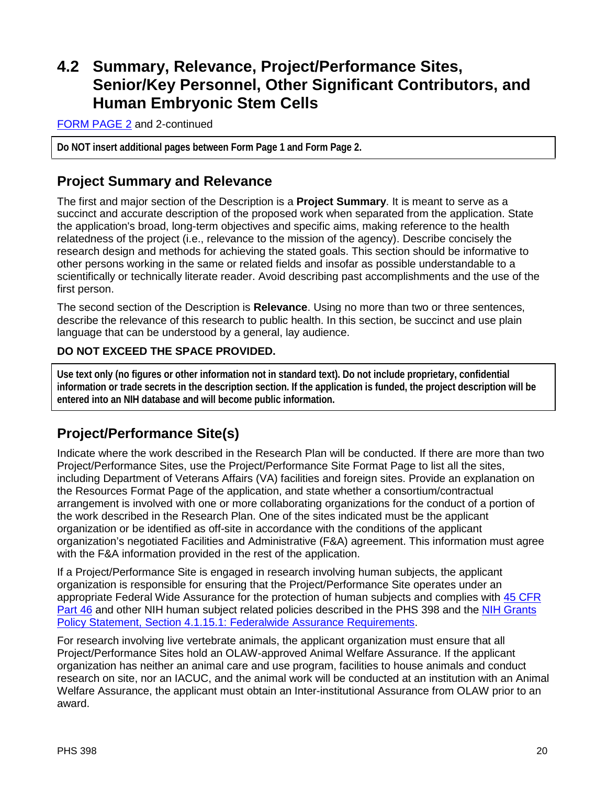## <span id="page-23-0"></span>**4.2 Summary, Relevance, Project/Performance Sites, Senior/Key Personnel, Other Significant Contributors, and Human Embryonic Stem Cells**

[FORM PAGE 2](http://grants.nih.gov/grants/funding/phs398/phs398.html) and 2-continued

**Do NOT insert additional pages between Form Page 1 and Form Page 2.**

### <span id="page-23-1"></span>**Project Summary and Relevance**

The first and major section of the Description is a **Project Summary**. It is meant to serve as a succinct and accurate description of the proposed work when separated from the application. State the application's broad, long-term objectives and specific aims, making reference to the health relatedness of the project (i.e., relevance to the mission of the agency). Describe concisely the research design and methods for achieving the stated goals. This section should be informative to other persons working in the same or related fields and insofar as possible understandable to a scientifically or technically literate reader. Avoid describing past accomplishments and the use of the first person.

The second section of the Description is **Relevance**. Using no more than two or three sentences, describe the relevance of this research to public health. In this section, be succinct and use plain language that can be understood by a general, lay audience.

#### **DO NOT EXCEED THE SPACE PROVIDED.**

**Use text only (no figures or other information not in standard text). Do not include proprietary, confidential information or trade secrets in the description section. If the application is funded, the project description will be entered into an NIH database and will become public information.** 

### <span id="page-23-2"></span>**Project/Performance Site(s)**

Indicate where the work described in the Research Plan will be conducted. If there are more than two Project/Performance Sites, use the Project/Performance Site Format Page to list all the sites, including Department of Veterans Affairs (VA) facilities and foreign sites. Provide an explanation on the Resources Format Page of the application, and state whether a consortium/contractual arrangement is involved with one or more collaborating organizations for the conduct of a portion of the work described in the Research Plan. One of the sites indicated must be the applicant organization or be identified as off-site in accordance with the conditions of the applicant organization's negotiated Facilities and Administrative (F&A) agreement. This information must agree with the F&A information provided in the rest of the application.

If a Project/Performance Site is engaged in research involving human subjects, the applicant organization is responsible for ensuring that the Project/Performance Site operates under an appropriate Federal Wide Assurance for the protection of human subjects and complies with [45 CFR](http://www.hhs.gov/ohrp/humansubjects/guidance/45cfr46.html)  [Part 46](http://www.hhs.gov/ohrp/humansubjects/guidance/45cfr46.html) and other NIH human subject related policies described in the PHS 398 and the [NIH Grants](https://grants.nih.gov/grants/policy/nihgps/HTML5/section_4/4.1_public_policy_requirements_and_objectives.htm?tocpath=4%20Public%20Policy%20Requirements%2C%20Objectives%20and%20Other%20Appropriation%20Mandates%7C4.1%20Public%20Policy%20Requirements%20and%20Objectives%7C4.1.15%20Human%20Subjects%20Protections%7C_____1#4.1.15.1_Federalwide_Assurance_Requirements)  [Policy Statement, Section 4.1.15.1: Federalwide Assurance Requirements.](https://grants.nih.gov/grants/policy/nihgps/HTML5/section_4/4.1_public_policy_requirements_and_objectives.htm?tocpath=4%20Public%20Policy%20Requirements%2C%20Objectives%20and%20Other%20Appropriation%20Mandates%7C4.1%20Public%20Policy%20Requirements%20and%20Objectives%7C4.1.15%20Human%20Subjects%20Protections%7C_____1#4.1.15.1_Federalwide_Assurance_Requirements)

For research involving live vertebrate animals, the applicant organization must ensure that all Project/Performance Sites hold an OLAW-approved Animal Welfare Assurance. If the applicant organization has neither an animal care and use program, facilities to house animals and conduct research on site, nor an IACUC, and the animal work will be conducted at an institution with an Animal Welfare Assurance, the applicant must obtain an Inter-institutional Assurance from OLAW prior to an award.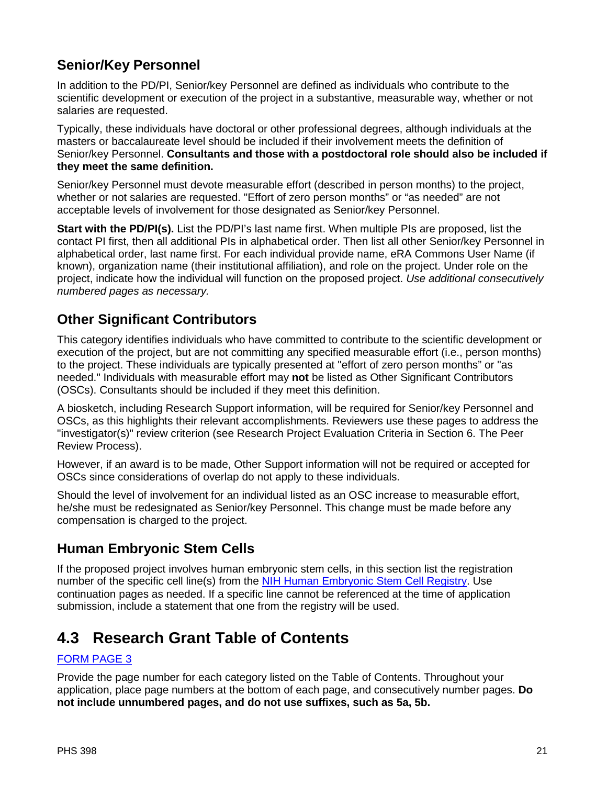### <span id="page-24-0"></span>**Senior/Key Personnel**

In addition to the PD/PI, Senior/key Personnel are defined as individuals who contribute to the scientific development or execution of the project in a substantive, measurable way, whether or not salaries are requested.

Typically, these individuals have doctoral or other professional degrees, although individuals at the masters or baccalaureate level should be included if their involvement meets the definition of Senior/key Personnel. **Consultants and those with a postdoctoral role should also be included if they meet the same definition.**

Senior/key Personnel must devote measurable effort (described in person months) to the project, whether or not salaries are requested. "Effort of zero person months" or "as needed" are not acceptable levels of involvement for those designated as Senior/key Personnel.

**Start with the PD/PI(s).** List the PD/PI's last name first. When multiple PIs are proposed, list the contact PI first, then all additional PIs in alphabetical order. Then list all other Senior/key Personnel in alphabetical order, last name first. For each individual provide name, eRA Commons User Name (if known), organization name (their institutional affiliation), and role on the project. Under role on the project, indicate how the individual will function on the proposed project. *Use additional consecutively numbered pages as necessary.*

### <span id="page-24-1"></span>**Other Significant Contributors**

This category identifies individuals who have committed to contribute to the scientific development or execution of the project, but are not committing any specified measurable effort (i.e., person months) to the project. These individuals are typically presented at "effort of zero person months" or "as needed." Individuals with measurable effort may **not** be listed as Other Significant Contributors (OSCs). Consultants should be included if they meet this definition.

A biosketch, including Research Support information, will be required for Senior/key Personnel and OSCs, as this highlights their relevant accomplishments. Reviewers use these pages to address the "investigator(s)" review criterion (see Research Project Evaluation Criteria in Section 6. The Peer Review Process).

However, if an award is to be made, Other Support information will not be required or accepted for OSCs since considerations of overlap do not apply to these individuals.

Should the level of involvement for an individual listed as an OSC increase to measurable effort, he/she must be redesignated as Senior/key Personnel. This change must be made before any compensation is charged to the project.

### <span id="page-24-2"></span>**Human Embryonic Stem Cells**

If the proposed project involves human embryonic stem cells, in this section list the registration number of the specific cell line(s) from the [NIH Human Embryonic Stem Cell Registry.](https://grants.nih.gov/stem_cells/registry/current.htm) Use continuation pages as needed. If a specific line cannot be referenced at the time of application submission, include a statement that one from the registry will be used.

## <span id="page-24-3"></span>**4.3 Research Grant Table of Contents**

#### [FORM PAGE 3](http://grants.nih.gov/grants/funding/phs398/phs398.html)

Provide the page number for each category listed on the Table of Contents. Throughout your application, place page numbers at the bottom of each page, and consecutively number pages. **Do not include unnumbered pages, and do not use suffixes, such as 5a, 5b.**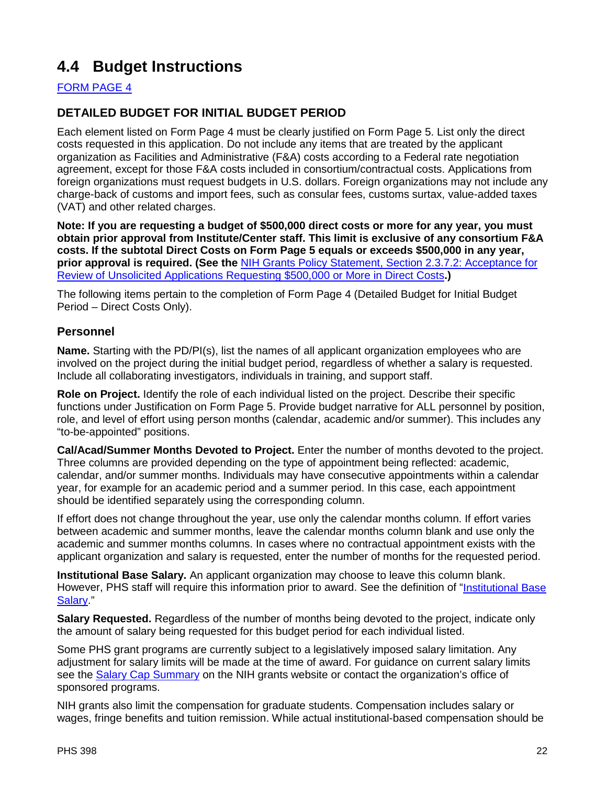## <span id="page-25-0"></span>**4.4 Budget Instructions**

#### [FORM PAGE 4](http://grants.nih.gov/grants/funding/phs398/phs398.html)

### **DETAILED BUDGET FOR INITIAL BUDGET PERIOD**

Each element listed on Form Page 4 must be clearly justified on Form Page 5. List only the direct costs requested in this application. Do not include any items that are treated by the applicant organization as Facilities and Administrative (F&A) costs according to a Federal rate negotiation agreement, except for those F&A costs included in consortium/contractual costs. Applications from foreign organizations must request budgets in U.S. dollars. Foreign organizations may not include any charge-back of customs and import fees, such as consular fees, customs surtax, value-added taxes (VAT) and other related charges.

**Note: If you are requesting a budget of \$500,000 direct costs or more for any year, you must obtain prior approval from Institute/Center staff. This limit is exclusive of any consortium F&A costs. If the subtotal Direct Costs on Form Page 5 equals or exceeds \$500,000 in any year, prior approval is required. (See the** [NIH Grants Policy Statement, Section 2.3.7.2: Acceptance for](https://grants.nih.gov/grants/policy/nihgps/HTML5/section_2/2.3_application_information_and_processes.htm#Policies)  [Review of Unsolicited Applications Requesting \\$500,000 or More in Direct Costs](https://grants.nih.gov/grants/policy/nihgps/HTML5/section_2/2.3_application_information_and_processes.htm#Policies)**.)**

The following items pertain to the completion of Form Page 4 (Detailed Budget for Initial Budget Period – Direct Costs Only).

#### **Personnel**

**Name.** Starting with the PD/PI(s), list the names of all applicant organization employees who are involved on the project during the initial budget period, regardless of whether a salary is requested. Include all collaborating investigators, individuals in training, and support staff.

**Role on Project.** Identify the role of each individual listed on the project. Describe their specific functions under Justification on Form Page 5. Provide budget narrative for ALL personnel by position, role, and level of effort using person months (calendar, academic and/or summer). This includes any "to-be-appointed" positions.

**Cal/Acad/Summer Months Devoted to Project.** Enter the number of months devoted to the project. Three columns are provided depending on the type of appointment being reflected: academic, calendar, and/or summer months. Individuals may have consecutive appointments within a calendar year, for example for an academic period and a summer period. In this case, each appointment should be identified separately using the corresponding column.

If effort does not change throughout the year, use only the calendar months column. If effort varies between academic and summer months, leave the calendar months column blank and use only the academic and summer months columns. In cases where no contractual appointment exists with the applicant organization and salary is requested, enter the number of months for the requested period.

**Institutional Base Salary.** An applicant organization may choose to leave this column blank. However, PHS staff will require this information prior to award. See the definition of "Institutional Base Salary<sup>"</sup>

**Salary Requested.** Regardless of the number of months being devoted to the project, indicate only the amount of salary being requested for this budget period for each individual listed.

Some PHS grant programs are currently subject to a legislatively imposed salary limitation. Any adjustment for salary limits will be made at the time of award. For guidance on current salary limits see the [Salary Cap Summary](http://grants.nih.gov/grants/policy/salcap_summary.htm) on the NIH grants website or contact the organization's office of sponsored programs.

NIH grants also limit the compensation for graduate students. Compensation includes salary or wages, fringe benefits and tuition remission. While actual institutional-based compensation should be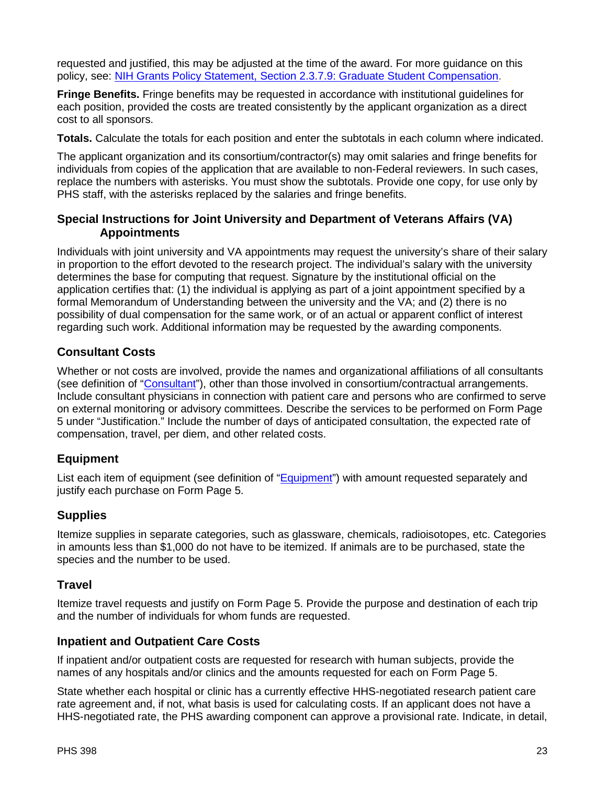requested and justified, this may be adjusted at the time of the award. For more guidance on this policy, see: [NIH Grants Policy Statement, Section 2.3.7.9: Graduate Student Compensation.](https://grants.nih.gov/grants/policy/nihgps/HTML5/section_2/2.3_application_information_and_processes.htm?tocpath=2%20The%20National%20Institutes%20of%20Health%20as%20a%20Grant-Making%20Organization%7C2.3%20Application%20Information%20and%20Processes%7C2.3.7%20Policies%20Affecting%20Applications%7C_____9#2.3.7.9_Graduate_Student_Compensation_..17)

**Fringe Benefits.** Fringe benefits may be requested in accordance with institutional guidelines for each position, provided the costs are treated consistently by the applicant organization as a direct cost to all sponsors.

**Totals.** Calculate the totals for each position and enter the subtotals in each column where indicated.

The applicant organization and its consortium/contractor(s) may omit salaries and fringe benefits for individuals from copies of the application that are available to non-Federal reviewers. In such cases, replace the numbers with asterisks. You must show the subtotals. Provide one copy, for use only by PHS staff, with the asterisks replaced by the salaries and fringe benefits.

#### **Special Instructions for Joint University and Department of Veterans Affairs (VA) Appointments**

Individuals with joint university and VA appointments may request the university's share of their salary in proportion to the effort devoted to the research project. The individual's salary with the university determines the base for computing that request. Signature by the institutional official on the application certifies that: (1) the individual is applying as part of a joint appointment specified by a formal Memorandum of Understanding between the university and the VA; and (2) there is no possibility of dual compensation for the same work, or of an actual or apparent conflict of interest regarding such work. Additional information may be requested by the awarding components.

#### **Consultant Costs**

Whether or not costs are involved, provide the names and organizational affiliations of all consultants (see definition of ["Consultant"](https://grants.nih.gov/grants/glossary.htm#Consultant)), other than those involved in consortium/contractual arrangements. Include consultant physicians in connection with patient care and persons who are confirmed to serve on external monitoring or advisory committees. Describe the services to be performed on Form Page 5 under "Justification." Include the number of days of anticipated consultation, the expected rate of compensation, travel, per diem, and other related costs.

#### **Equipment**

List each item of equipment (see definition of ["Equipment"](https://grants.nih.gov/grants/glossary.htm#Equipment)) with amount requested separately and justify each purchase on Form Page 5.

#### **Supplies**

Itemize supplies in separate categories, such as glassware, chemicals, radioisotopes, etc. Categories in amounts less than \$1,000 do not have to be itemized. If animals are to be purchased, state the species and the number to be used.

#### **Travel**

Itemize travel requests and justify on Form Page 5. Provide the purpose and destination of each trip and the number of individuals for whom funds are requested.

#### **Inpatient and Outpatient Care Costs**

If inpatient and/or outpatient costs are requested for research with human subjects, provide the names of any hospitals and/or clinics and the amounts requested for each on Form Page 5.

State whether each hospital or clinic has a currently effective HHS-negotiated research patient care rate agreement and, if not, what basis is used for calculating costs. If an applicant does not have a HHS-negotiated rate, the PHS awarding component can approve a provisional rate. Indicate, in detail,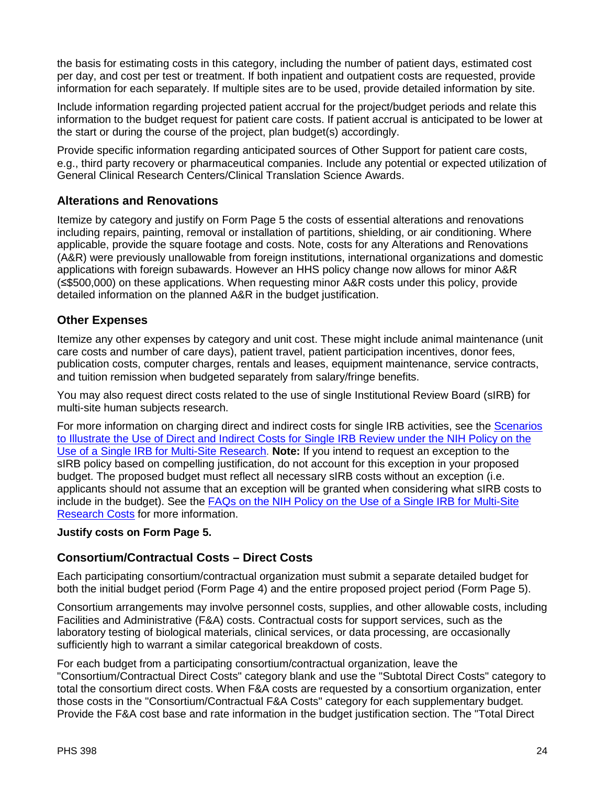the basis for estimating costs in this category, including the number of patient days, estimated cost per day, and cost per test or treatment. If both inpatient and outpatient costs are requested, provide information for each separately. If multiple sites are to be used, provide detailed information by site.

Include information regarding projected patient accrual for the project/budget periods and relate this information to the budget request for patient care costs. If patient accrual is anticipated to be lower at the start or during the course of the project, plan budget(s) accordingly.

Provide specific information regarding anticipated sources of Other Support for patient care costs, e.g., third party recovery or pharmaceutical companies. Include any potential or expected utilization of General Clinical Research Centers/Clinical Translation Science Awards.

#### **Alterations and Renovations**

Itemize by category and justify on Form Page 5 the costs of essential alterations and renovations including repairs, painting, removal or installation of partitions, shielding, or air conditioning. Where applicable, provide the square footage and costs. Note, costs for any Alterations and Renovations (A&R) were previously unallowable from foreign institutions, international organizations and domestic applications with foreign subawards. However an HHS policy change now allows for minor A&R (≤\$500,000) on these applications. When requesting minor A&R costs under this policy, provide detailed information on the planned A&R in the budget justification.

#### **Other Expenses**

Itemize any other expenses by category and unit cost. These might include animal maintenance (unit care costs and number of care days), patient travel, patient participation incentives, donor fees, publication costs, computer charges, rentals and leases, equipment maintenance, service contracts, and tuition remission when budgeted separately from salary/fringe benefits.

You may also request direct costs related to the use of single Institutional Review Board (sIRB) for multi-site human subjects research.

For more information on charging direct and indirect costs for single IRB activities, see the [Scenarios](https://grants.nih.gov/grants/guide/notice-files/NOT-OD-16-109.html)  [to Illustrate the Use of Direct and Indirect Costs for Single IRB](https://grants.nih.gov/grants/guide/notice-files/NOT-OD-16-109.html) Review under the NIH Policy on the Use of a Single IRB [for Multi-Site Research.](https://grants.nih.gov/grants/guide/notice-files/NOT-OD-16-109.html) **Note:** If you intend to request an exception to the sIRB policy based on compelling justification, do not account for this exception in your proposed budget. The proposed budget must reflect all necessary sIRB costs without an exception (i.e. applicants should not assume that an exception will be granted when considering what sIRB costs to include in the budget). See the FAQs on the NIH Policy [on the Use of a Single IRB for Multi-Site](https://osp.od.nih.gov/clinical-research/nih-policy-on-the-use-of-a-single-irb-for-multi-site-research-faqs-on-costs/)  [Research Costs](https://osp.od.nih.gov/clinical-research/nih-policy-on-the-use-of-a-single-irb-for-multi-site-research-faqs-on-costs/) for more information.

#### **Justify costs on Form Page 5.**

#### **Consortium/Contractual Costs – Direct Costs**

Each participating consortium/contractual organization must submit a separate detailed budget for both the initial budget period (Form Page 4) and the entire proposed project period (Form Page 5).

Consortium arrangements may involve personnel costs, supplies, and other allowable costs, including Facilities and Administrative (F&A) costs. Contractual costs for support services, such as the laboratory testing of biological materials, clinical services, or data processing, are occasionally sufficiently high to warrant a similar categorical breakdown of costs.

For each budget from a participating consortium/contractual organization, leave the "Consortium/Contractual Direct Costs" category blank and use the "Subtotal Direct Costs" category to total the consortium direct costs. When F&A costs are requested by a consortium organization, enter those costs in the "Consortium/Contractual F&A Costs" category for each supplementary budget. Provide the F&A cost base and rate information in the budget justification section. The "Total Direct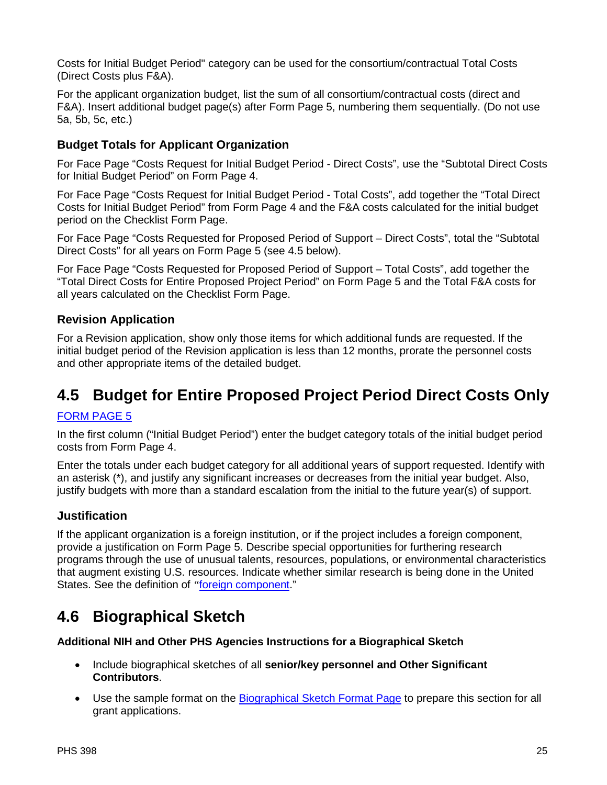Costs for Initial Budget Period" category can be used for the consortium/contractual Total Costs (Direct Costs plus F&A).

For the applicant organization budget, list the sum of all consortium/contractual costs (direct and F&A). Insert additional budget page(s) after Form Page 5, numbering them sequentially. (Do not use 5a, 5b, 5c, etc.)

### **Budget Totals for Applicant Organization**

For Face Page "Costs Request for Initial Budget Period - Direct Costs", use the "Subtotal Direct Costs for Initial Budget Period" on Form Page 4.

For Face Page "Costs Request for Initial Budget Period - Total Costs", add together the "Total Direct Costs for Initial Budget Period" from Form Page 4 and the F&A costs calculated for the initial budget period on the Checklist Form Page.

For Face Page "Costs Requested for Proposed Period of Support – Direct Costs", total the "Subtotal Direct Costs" for all years on Form Page 5 (see 4.5 below).

For Face Page "Costs Requested for Proposed Period of Support – Total Costs", add together the "Total Direct Costs for Entire Proposed Project Period" on Form Page 5 and the Total F&A costs for all years calculated on the Checklist Form Page.

#### **Revision Application**

For a Revision application, show only those items for which additional funds are requested. If the initial budget period of the Revision application is less than 12 months, prorate the personnel costs and other appropriate items of the detailed budget.

## <span id="page-28-0"></span>**4.5 Budget for Entire Proposed Project Period Direct Costs Only**

#### [FORM PAGE 5](http://grants.nih.gov/grants/funding/phs398/phs398.html)

In the first column ("Initial Budget Period") enter the budget category totals of the initial budget period costs from Form Page 4.

Enter the totals under each budget category for all additional years of support requested. Identify with an asterisk (\*), and justify any significant increases or decreases from the initial year budget. Also, justify budgets with more than a standard escalation from the initial to the future year(s) of support.

### **Justification**

If the applicant organization is a foreign institution, or if the project includes a foreign component, provide a justification on Form Page 5. Describe special opportunities for furthering research programs through the use of unusual talents, resources, populations, or environmental characteristics that augment existing U.S. resources. Indicate whether similar research is being done in the United States. See the definition of *"*[foreign component.](https://grants.nih.gov/grants/glossary.htm#ForeignComponent)"

## <span id="page-28-1"></span>**4.6 Biographical Sketch**

**Additional NIH and Other PHS Agencies Instructions for a Biographical Sketch**

- Include biographical sketches of all **senior/key personnel and Other Significant Contributors**.
- Use the sample format on the **Biographical Sketch Format Page to prepare this section for all** grant applications.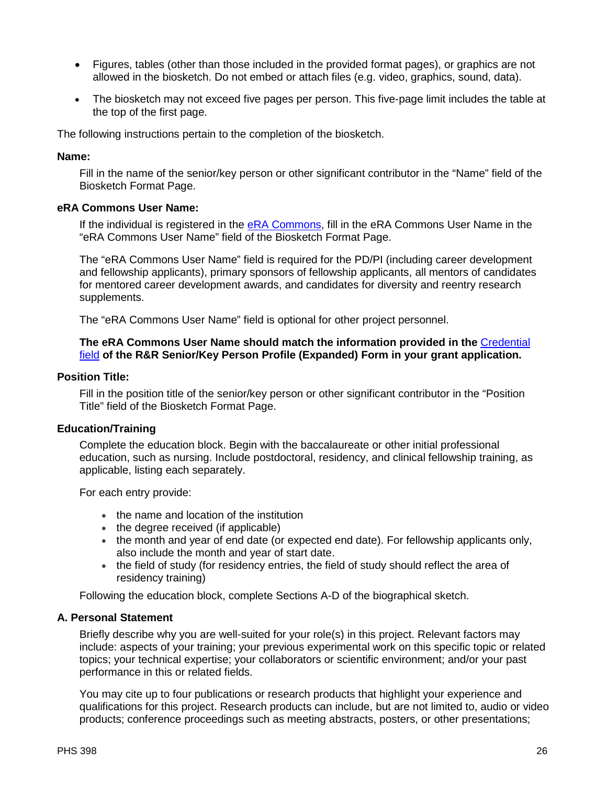- Figures, tables (other than those included in the provided format pages), or graphics are not allowed in the biosketch. Do not embed or attach files (e.g. video, graphics, sound, data).
- The biosketch may not exceed five pages per person. This five-page limit includes the table at the top of the first page.

The following instructions pertain to the completion of the biosketch.

#### **Name:**

Fill in the name of the senior/key person or other significant contributor in the "Name" field of the Biosketch Format Page.

#### **eRA Commons User Name:**

If the individual is registered in the [eRA Commons,](https://commons.era.nih.gov/commons/index.jsp) fill in the eRA Commons User Name in the "eRA Commons User Name" field of the Biosketch Format Page.

The "eRA Commons User Name" field is required for the PD/PI (including career development and fellowship applicants), primary sponsors of fellowship applicants, all mentors of candidates for mentored career development awards, and candidates for diversity and reentry research supplements.

The "eRA Commons User Name" field is optional for other project personnel.

#### **The eRA Commons User Name should match the information provided in the** Credential field **of the R&R Senior/Key Person Profile (Expanded) Form in your grant application.**

#### **Position Title:**

Fill in the position title of the senior/key person or other significant contributor in the "Position Title" field of the Biosketch Format Page.

#### **Education/Training**

Complete the education block. Begin with the baccalaureate or other initial professional education, such as nursing. Include postdoctoral, residency, and clinical fellowship training, as applicable, listing each separately.

For each entry provide:

- the name and location of the institution
- the degree received (if applicable)
- the month and year of end date (or expected end date). For fellowship applicants only, also include the month and year of start date.
- the field of study (for residency entries, the field of study should reflect the area of residency training)

Following the education block, complete Sections A-D of the biographical sketch.

#### **A. Personal Statement**

Briefly describe why you are well-suited for your role(s) in this project. Relevant factors may include: aspects of your training; your previous experimental work on this specific topic or related topics; your technical expertise; your collaborators or scientific environment; and/or your past performance in this or related fields.

You may cite up to four publications or research products that highlight your experience and qualifications for this project. Research products can include, but are not limited to, audio or video products; conference proceedings such as meeting abstracts, posters, or other presentations;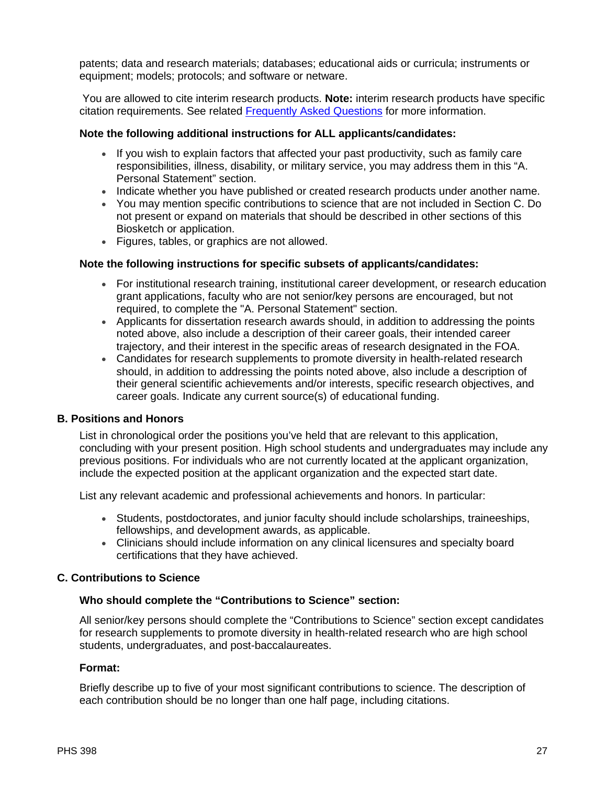patents; data and research materials; databases; educational aids or curricula; instruments or equipment; models; protocols; and software or netware.

You are allowed to cite interim research products. **Note:** interim research products have specific citation requirements. See related [Frequently Asked Questions](http://grants.nih.gov/grants/interim_product_faqs.htm) for more information.

#### **Note the following additional instructions for ALL applicants/candidates:**

- If you wish to explain factors that affected your past productivity, such as family care responsibilities, illness, disability, or military service, you may address them in this "A. Personal Statement" section.
- Indicate whether you have published or created research products under another name.
- You may mention specific contributions to science that are not included in Section C. Do not present or expand on materials that should be described in other sections of this Biosketch or application.
- Figures, tables, or graphics are not allowed.

#### **Note the following instructions for specific subsets of applicants/candidates:**

- For institutional research training, institutional career development, or research education grant applications, faculty who are not senior/key persons are encouraged, but not required, to complete the "A. Personal Statement" section.
- Applicants for dissertation research awards should, in addition to addressing the points noted above, also include a description of their career goals, their intended career trajectory, and their interest in the specific areas of research designated in the FOA.
- Candidates for research supplements to promote diversity in health-related research should, in addition to addressing the points noted above, also include a description of their general scientific achievements and/or interests, specific research objectives, and career goals. Indicate any current source(s) of educational funding.

#### **B. Positions and Honors**

List in chronological order the positions you've held that are relevant to this application, concluding with your present position. High school students and undergraduates may include any previous positions. For individuals who are not currently located at the applicant organization, include the expected position at the applicant organization and the expected start date.

List any relevant academic and professional achievements and honors. In particular:

- Students, postdoctorates, and junior faculty should include scholarships, traineeships, fellowships, and development awards, as applicable.
- Clinicians should include information on any clinical licensures and specialty board certifications that they have achieved.

#### **C. Contributions to Science**

#### **Who should complete the "Contributions to Science" section:**

All senior/key persons should complete the "Contributions to Science" section except candidates for research supplements to promote diversity in health-related research who are high school students, undergraduates, and post-baccalaureates.

#### **Format:**

Briefly describe up to five of your most significant contributions to science. The description of each contribution should be no longer than one half page, including citations.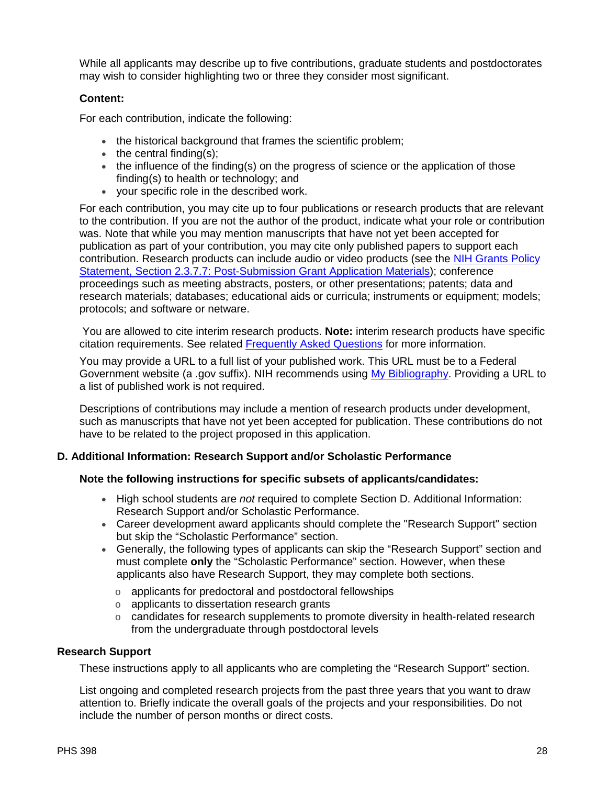While all applicants may describe up to five contributions, graduate students and postdoctorates may wish to consider highlighting two or three they consider most significant.

#### **Content:**

For each contribution, indicate the following:

- the historical background that frames the scientific problem;
- $\bullet$  the central finding(s);
- the influence of the finding(s) on the progress of science or the application of those finding(s) to health or technology; and
- your specific role in the described work.

For each contribution, you may cite up to four publications or research products that are relevant to the contribution. If you are not the author of the product, indicate what your role or contribution was. Note that while you may mention manuscripts that have not yet been accepted for publication as part of your contribution, you may cite only published papers to support each contribution. Research products can include audio or video products (see the [NIH Grants Policy](https://grants.nih.gov/grants/policy/nihgps/HTML5/section_2/2.3_application_information_and_processes.htm#Policies)  [Statement, Section 2.3.7.7: Post-Submission Grant Application Materials\)](https://grants.nih.gov/grants/policy/nihgps/HTML5/section_2/2.3_application_information_and_processes.htm#Policies); conference proceedings such as meeting abstracts, posters, or other presentations; patents; data and research materials; databases; educational aids or curricula; instruments or equipment; models; protocols; and software or netware.

You are allowed to cite interim research products. **Note:** interim research products have specific citation requirements. See related [Frequently Asked Questions](http://grants.nih.gov/grants/interim_product_faqs.htm) for more information.

You may provide a URL to a full list of your published work. This URL must be to a Federal Government website (a .gov suffix). NIH recommends using [My Bibliography.](http://www.ncbi.nlm.nih.gov/books/NBK53595/) Providing a URL to a list of published work is not required.

Descriptions of contributions may include a mention of research products under development, such as manuscripts that have not yet been accepted for publication. These contributions do not have to be related to the project proposed in this application.

#### **D. Additional Information: Research Support and/or Scholastic Performance**

#### **Note the following instructions for specific subsets of applicants/candidates:**

- High school students are *not* required to complete Section D. Additional Information: Research Support and/or Scholastic Performance.
- Career development award applicants should complete the "Research Support" section but skip the "Scholastic Performance" section.
- Generally, the following types of applicants can skip the "Research Support" section and must complete **only** the "Scholastic Performance" section. However, when these applicants also have Research Support, they may complete both sections.
	- o applicants for predoctoral and postdoctoral fellowships
	- o applicants to dissertation research grants
	- o candidates for research supplements to promote diversity in health-related research from the undergraduate through postdoctoral levels

#### **Research Support**

These instructions apply to all applicants who are completing the "Research Support" section.

List ongoing and completed research projects from the past three years that you want to draw attention to. Briefly indicate the overall goals of the projects and your responsibilities. Do not include the number of person months or direct costs.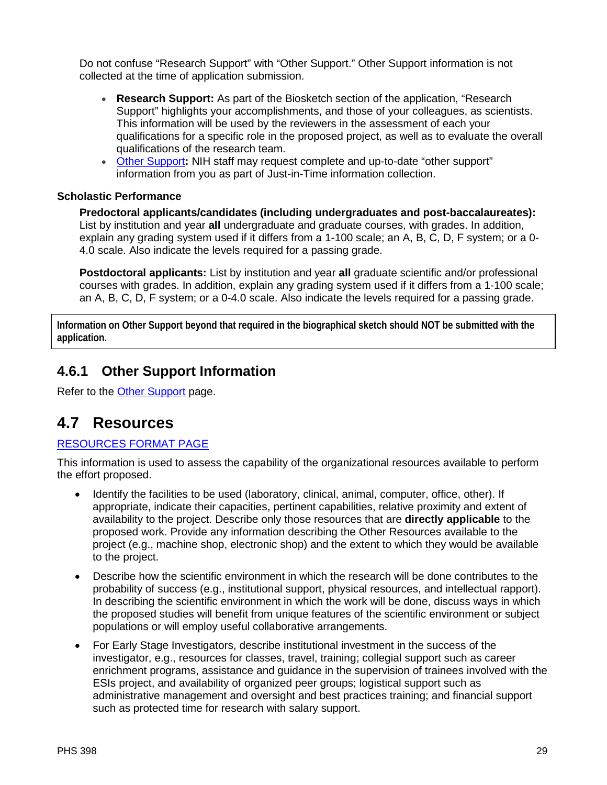Do not confuse "Research Support" with "Other Support." Other Support information is not collected at the time of application submission.

- **Research Support:** As part of the Biosketch section of the application, "Research Support" highlights your accomplishments, and those of your colleagues, as scientists. This information will be used by the reviewers in the assessment of each your qualifications for a specific role in the proposed project, as well as to evaluate the overall qualifications of the research team.
- [Other Support](http://grants.nih.gov/grants/glossary.htm#OtherSupport)**:** NIH staff may request complete and up-to-date "other support" information from you as part of Just-in-Time information collection.

#### **Scholastic Performance**

**Predoctoral applicants/candidates (including undergraduates and post-baccalaureates):** List by institution and year **all** undergraduate and graduate courses, with grades. In addition, explain any grading system used if it differs from a 1-100 scale; an A, B, C, D, F system; or a 0- 4.0 scale. Also indicate the levels required for a passing grade.

**Postdoctoral applicants:** List by institution and year **all** graduate scientific and/or professional courses with grades. In addition, explain any grading system used if it differs from a 1-100 scale; an A, B, C, D, F system; or a 0-4.0 scale. Also indicate the levels required for a passing grade.

**Information on Other Support beyond that required in the biographical sketch should NOT be submitted with the application.** 

### <span id="page-32-0"></span>**4.6.1 Other Support Information**

Refer to the **Other Support** page.

### <span id="page-32-1"></span>**4.7 Resources**

#### [RESOURCES FORMAT PAGE](http://grants.nih.gov/grants/funding/phs398/phs398.html)

This information is used to assess the capability of the organizational resources available to perform the effort proposed.

- Identify the facilities to be used (laboratory, clinical, animal, computer, office, other). If appropriate, indicate their capacities, pertinent capabilities, relative proximity and extent of availability to the project. Describe only those resources that are **directly applicable** to the proposed work. Provide any information describing the Other Resources available to the project (e.g., machine shop, electronic shop) and the extent to which they would be available to the project.
- Describe how the scientific environment in which the research will be done contributes to the probability of success (e.g., institutional support, physical resources, and intellectual rapport). In describing the scientific environment in which the work will be done, discuss ways in which the proposed studies will benefit from unique features of the scientific environment or subject populations or will employ useful collaborative arrangements.
- For Early Stage Investigators, describe institutional investment in the success of the investigator, e.g., resources for classes, travel, training; collegial support such as career enrichment programs, assistance and guidance in the supervision of trainees involved with the ESIs project, and availability of organized peer groups; logistical support such as administrative management and oversight and best practices training; and financial support such as protected time for research with salary support.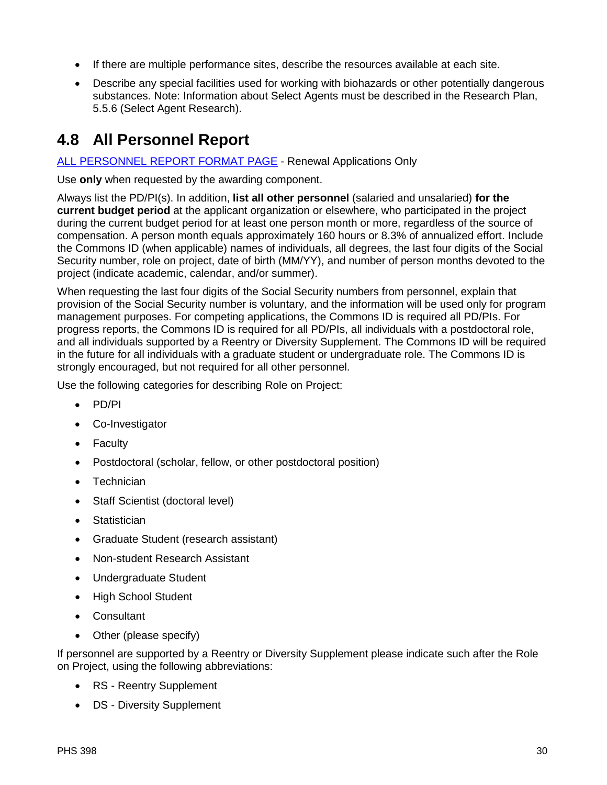- If there are multiple performance sites, describe the resources available at each site.
- Describe any special facilities used for working with biohazards or other potentially dangerous substances. Note: Information about Select Agents must be described in the Research Plan, 5.5.6 (Select Agent Research).

## <span id="page-33-0"></span>**4.8 All Personnel Report**

[ALL PERSONNEL REPORT FORMAT PAGE](http://grants.nih.gov/grants/funding/phs398/phs398.html) - Renewal Applications Only

Use **only** when requested by the awarding component.

Always list the PD/PI(s). In addition, **list all other personnel** (salaried and unsalaried) **for the current budget period** at the applicant organization or elsewhere, who participated in the project during the current budget period for at least one person month or more, regardless of the source of compensation. A person month equals approximately 160 hours or 8.3% of annualized effort. Include the Commons ID (when applicable) names of individuals, all degrees, the last four digits of the Social Security number, role on project, date of birth (MM/YY), and number of person months devoted to the project (indicate academic, calendar, and/or summer).

When requesting the last four digits of the Social Security numbers from personnel, explain that provision of the Social Security number is voluntary, and the information will be used only for program management purposes. For competing applications, the Commons ID is required all PD/PIs. For progress reports, the Commons ID is required for all PD/PIs, all individuals with a postdoctoral role, and all individuals supported by a Reentry or Diversity Supplement. The Commons ID will be required in the future for all individuals with a graduate student or undergraduate role. The Commons ID is strongly encouraged, but not required for all other personnel.

Use the following categories for describing Role on Project:

- PD/PI
- Co-Investigator
- Faculty
- Postdoctoral (scholar, fellow, or other postdoctoral position)
- **Technician**
- Staff Scientist (doctoral level)
- Statistician
- Graduate Student (research assistant)
- Non-student Research Assistant
- Undergraduate Student
- High School Student
- Consultant
- Other (please specify)

If personnel are supported by a Reentry or Diversity Supplement please indicate such after the Role on Project, using the following abbreviations:

- RS Reentry Supplement
- DS Diversity Supplement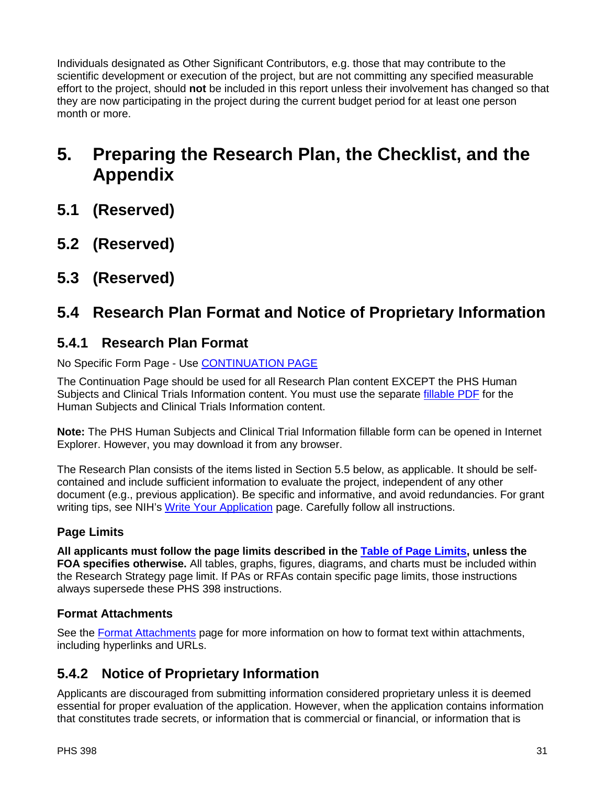Individuals designated as Other Significant Contributors, e.g. those that may contribute to the scientific development or execution of the project, but are not committing any specified measurable effort to the project, should **not** be included in this report unless their involvement has changed so that they are now participating in the project during the current budget period for at least one person month or more.

- <span id="page-34-0"></span>**5. Preparing the Research Plan, the Checklist, and the Appendix**
- <span id="page-34-1"></span>**5.1 (Reserved)**
- <span id="page-34-2"></span>**5.2 (Reserved)**
- <span id="page-34-3"></span>**5.3 (Reserved)**

## <span id="page-34-4"></span>**5.4 Research Plan Format and Notice of Proprietary Information**

### <span id="page-34-5"></span>**5.4.1 Research Plan Format**

No Specific Form Page - Use [CONTINUATION PAGE](http://grants.nih.gov/grants/funding/phs398/phs398.html)

The Continuation Page should be used for all Research Plan content EXCEPT the PHS Human Subjects and Clinical Trials Information content. You must use the separate [fillable PDF](https://grants.nih.gov/grants/forms/human-subjects-clinical-trials-information.pdf) for the Human Subjects and Clinical Trials Information content.

**Note:** The PHS Human Subjects and Clinical Trial Information fillable form can be opened in Internet Explorer. However, you may download it from any browser.

The Research Plan consists of the items listed in Section 5.5 below, as applicable. It should be selfcontained and include sufficient information to evaluate the project, independent of any other document (e.g., previous application). Be specific and informative, and avoid redundancies. For grant writing tips, see NIH's [Write Your Application](https://grants.nih.gov/grants/how-to-apply-application-guide/format-and-write/write-your-application.htm) page. Carefully follow all instructions.

### **Page Limits**

**All applicants must follow the page limits described in the [Table of Page Limits,](http://grants.nih.gov/grants/forms_page_limits.htm) unless the FOA specifies otherwise.** All tables, graphs, figures, diagrams, and charts must be included within the Research Strategy page limit. If PAs or RFAs contain specific page limits, those instructions always supersede these PHS 398 instructions.

#### **Format Attachments**

See the **[Format Attachments](https://grants.nih.gov/grants/how-to-apply-application-guide/format-and-write/format-attachments.htm)** page for more information on how to format text within attachments, including hyperlinks and URLs.

### <span id="page-34-6"></span>**5.4.2 Notice of Proprietary Information**

Applicants are discouraged from submitting information considered proprietary unless it is deemed essential for proper evaluation of the application. However, when the application contains information that constitutes trade secrets, or information that is commercial or financial, or information that is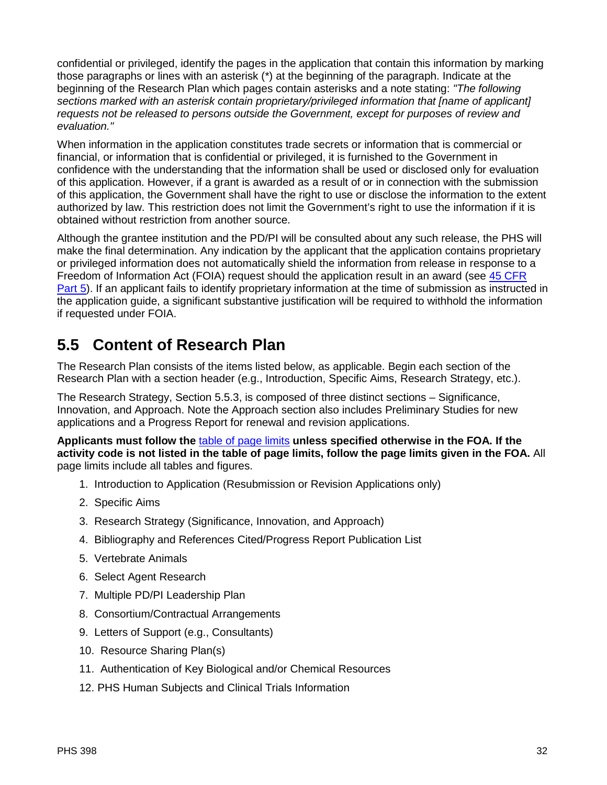confidential or privileged, identify the pages in the application that contain this information by marking those paragraphs or lines with an asterisk (\*) at the beginning of the paragraph. Indicate at the beginning of the Research Plan which pages contain asterisks and a note stating: *"The following sections marked with an asterisk contain proprietary/privileged information that [name of applicant] requests not be released to persons outside the Government, except for purposes of review and evaluation."*

When information in the application constitutes trade secrets or information that is commercial or financial, or information that is confidential or privileged, it is furnished to the Government in confidence with the understanding that the information shall be used or disclosed only for evaluation of this application. However, if a grant is awarded as a result of or in connection with the submission of this application, the Government shall have the right to use or disclose the information to the extent authorized by law. This restriction does not limit the Government's right to use the information if it is obtained without restriction from another source.

Although the grantee institution and the PD/PI will be consulted about any such release, the PHS will make the final determination. Any indication by the applicant that the application contains proprietary or privileged information does not automatically shield the information from release in response to a Freedom of Information Act (FOIA) request should the application result in an award (see [45 CFR](http://www.hhs.gov/foia/45cfr5.html)  [Part 5\)](http://www.hhs.gov/foia/45cfr5.html). If an applicant fails to identify proprietary information at the time of submission as instructed in the application guide, a significant substantive justification will be required to withhold the information if requested under FOIA.

## <span id="page-35-0"></span>**5.5 Content of Research Plan**

The Research Plan consists of the items listed below, as applicable. Begin each section of the Research Plan with a section header (e.g., Introduction, Specific Aims, Research Strategy, etc.).

The Research Strategy, Section 5.5.3, is composed of three distinct sections – Significance, Innovation, and Approach. Note the Approach section also includes Preliminary Studies for new applications and a Progress Report for renewal and revision applications.

**Applicants must follow the** [table of page limits](https://grants.nih.gov/grants/how-to-apply-application-guide/format-and-write/page-limits.htm) **unless specified otherwise in the FOA. If the activity code is not listed in the table of page limits, follow the page limits given in the FOA.** All page limits include all tables and figures.

- 1. Introduction to Application (Resubmission or Revision Applications only)
- 2. Specific Aims
- 3. Research Strategy (Significance, Innovation, and Approach)
- 4. Bibliography and References Cited/Progress Report Publication List
- 5. Vertebrate Animals
- 6. Select Agent Research
- 7. Multiple PD/PI Leadership Plan
- 8. Consortium/Contractual Arrangements
- 9. Letters of Support (e.g., Consultants)
- 10. Resource Sharing Plan(s)
- 11. Authentication of Key Biological and/or Chemical Resources
- 12. PHS Human Subjects and Clinical Trials Information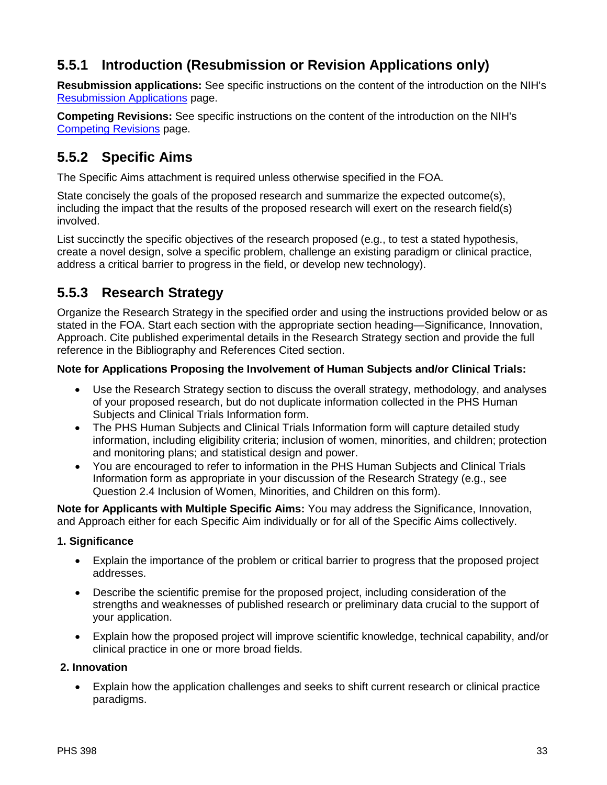## <span id="page-36-0"></span>**5.5.1 Introduction (Resubmission or Revision Applications only)**

**Resubmission applications:** See specific instructions on the content of the introduction on the NIH's [Resubmission Applications](http://grants.nih.gov/grants/policy/amendedapps.htm) page.

**Competing Revisions:** See specific instructions on the content of the introduction on the NIH's [Competing Revisions](http://grants.nih.gov/grants/competing-revisions.htm) page.

### <span id="page-36-1"></span>**5.5.2 Specific Aims**

The Specific Aims attachment is required unless otherwise specified in the FOA.

State concisely the goals of the proposed research and summarize the expected outcome(s), including the impact that the results of the proposed research will exert on the research field(s) involved.

List succinctly the specific objectives of the research proposed (e.g., to test a stated hypothesis, create a novel design, solve a specific problem, challenge an existing paradigm or clinical practice, address a critical barrier to progress in the field, or develop new technology).

## <span id="page-36-2"></span>**5.5.3 Research Strategy**

Organize the Research Strategy in the specified order and using the instructions provided below or as stated in the FOA. Start each section with the appropriate section heading—Significance, Innovation, Approach. Cite published experimental details in the Research Strategy section and provide the full reference in the Bibliography and References Cited section.

#### **Note for Applications Proposing the Involvement of Human Subjects and/or Clinical Trials:**

- Use the Research Strategy section to discuss the overall strategy, methodology, and analyses of your proposed research, but do not duplicate information collected in the PHS Human Subjects and Clinical Trials Information form.
- The PHS Human Subjects and Clinical Trials Information form will capture detailed study information, including eligibility criteria; inclusion of women, minorities, and children; protection and monitoring plans; and statistical design and power.
- You are encouraged to refer to information in the PHS Human Subjects and Clinical Trials Information form as appropriate in your discussion of the Research Strategy (e.g., see Question 2.4 Inclusion of Women, Minorities, and Children on this form).

**Note for Applicants with Multiple Specific Aims:** You may address the Significance, Innovation, and Approach either for each Specific Aim individually or for all of the Specific Aims collectively.

#### **1. Significance**

- Explain the importance of the problem or critical barrier to progress that the proposed project addresses.
- Describe the scientific premise for the proposed project, including consideration of the strengths and weaknesses of published research or preliminary data crucial to the support of your application.
- Explain how the proposed project will improve scientific knowledge, technical capability, and/or clinical practice in one or more broad fields.

#### **2. Innovation**

• Explain how the application challenges and seeks to shift current research or clinical practice paradigms.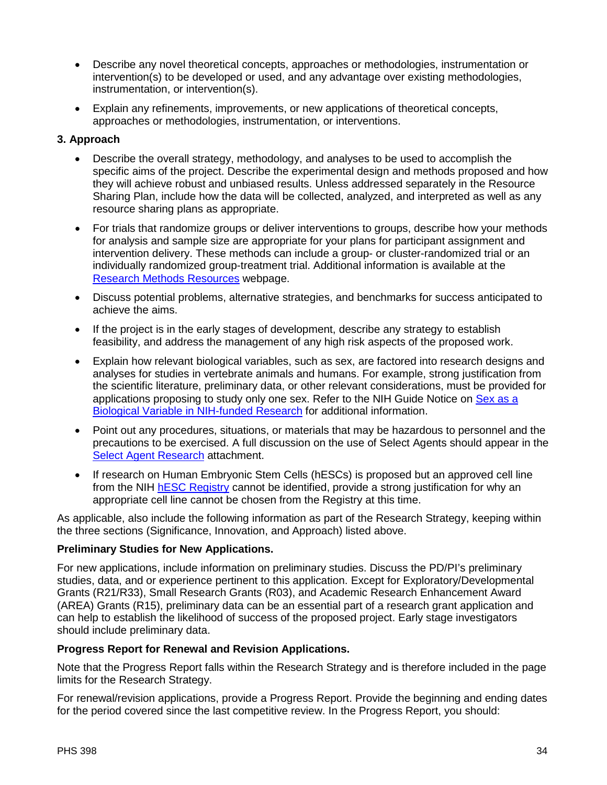- Describe any novel theoretical concepts, approaches or methodologies, instrumentation or intervention(s) to be developed or used, and any advantage over existing methodologies, instrumentation, or intervention(s).
- Explain any refinements, improvements, or new applications of theoretical concepts, approaches or methodologies, instrumentation, or interventions.

#### **3. Approach**

- Describe the overall strategy, methodology, and analyses to be used to accomplish the specific aims of the project. Describe the experimental design and methods proposed and how they will achieve robust and unbiased results. Unless addressed separately in the Resource Sharing Plan, include how the data will be collected, analyzed, and interpreted as well as any resource sharing plans as appropriate.
- For trials that randomize groups or deliver interventions to groups, describe how your methods for analysis and sample size are appropriate for your plans for participant assignment and intervention delivery. These methods can include a group- or cluster-randomized trial or an individually randomized group-treatment trial. Additional information is available at the [Research Methods Resources](https://researchmethodsresources.nih.gov/) webpage.
- Discuss potential problems, alternative strategies, and benchmarks for success anticipated to achieve the aims.
- If the project is in the early stages of development, describe any strategy to establish feasibility, and address the management of any high risk aspects of the proposed work.
- Explain how relevant biological variables, such as sex, are factored into research designs and analyses for studies in vertebrate animals and humans. For example, strong justification from the scientific literature, preliminary data, or other relevant considerations, must be provided for applications proposing to study only one sex. Refer to the NIH Guide Notice on [Sex as a](https://grants.nih.gov/grants/guide/notice-files/NOT-OD-15-102.html) [Biological Variable in NIH-funded Research](https://grants.nih.gov/grants/guide/notice-files/NOT-OD-15-102.html) for additional information.
- Point out any procedures, situations, or materials that may be hazardous to personnel and the precautions to be exercised. A full discussion on the use of Select Agents should appear in the [Select Agent Research](#page-39-1) attachment.
- If research on Human Embryonic Stem Cells (hESCs) is proposed but an approved cell line from the NIH [hESC Registry](https://grants.nih.gov/stem_cells/registry/current.htm) cannot be identified, provide a strong justification for why an appropriate cell line cannot be chosen from the Registry at this time.

As applicable, also include the following information as part of the Research Strategy, keeping within the three sections (Significance, Innovation, and Approach) listed above.

#### **Preliminary Studies for New Applications.**

For new applications, include information on preliminary studies. Discuss the PD/PI's preliminary studies, data, and or experience pertinent to this application. Except for Exploratory/Developmental Grants (R21/R33), Small Research Grants (R03), and Academic Research Enhancement Award (AREA) Grants (R15), preliminary data can be an essential part of a research grant application and can help to establish the likelihood of success of the proposed project. Early stage investigators should include preliminary data.

#### **Progress Report for Renewal and Revision Applications.**

Note that the Progress Report falls within the Research Strategy and is therefore included in the page limits for the Research Strategy.

For renewal/revision applications, provide a Progress Report. Provide the beginning and ending dates for the period covered since the last competitive review. In the Progress Report, you should: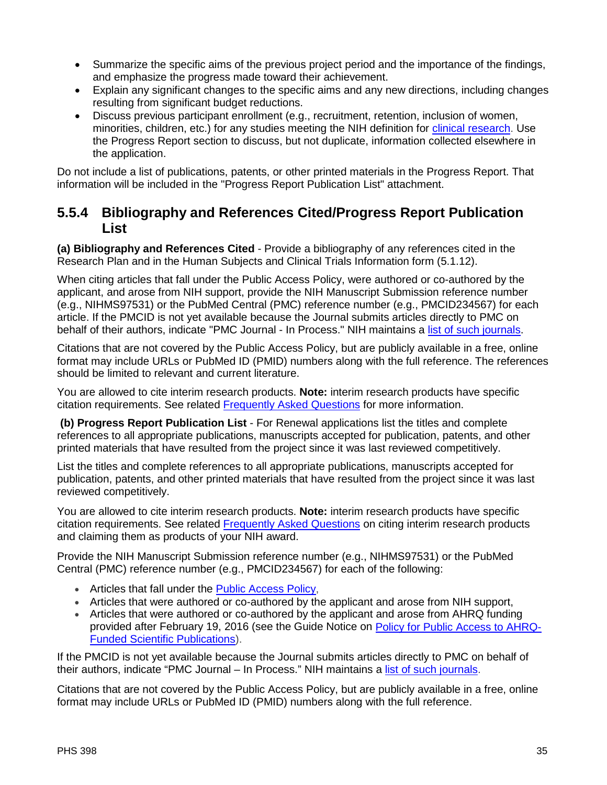- Summarize the specific aims of the previous project period and the importance of the findings, and emphasize the progress made toward their achievement.
- Explain any significant changes to the specific aims and any new directions, including changes resulting from significant budget reductions.
- Discuss previous participant enrollment (e.g., recruitment, retention, inclusion of women, minorities, children, etc.) for any studies meeting the NIH definition for [clinical research.](http://grants.nih.gov/grants/glossary.htm#ClinicalResearch) Use the Progress Report section to discuss, but not duplicate, information collected elsewhere in the application.

Do not include a list of publications, patents, or other printed materials in the Progress Report. That information will be included in the "Progress Report Publication List" attachment.

### <span id="page-38-0"></span>**5.5.4 Bibliography and References Cited/Progress Report Publication List**

**(a) Bibliography and References Cited** - Provide a bibliography of any references cited in the Research Plan and in the Human Subjects and Clinical Trials Information form (5.1.12).

When citing articles that fall under the Public Access Policy, were authored or co-authored by the applicant, and arose from NIH support, provide the NIH Manuscript Submission reference number (e.g., NIHMS97531) or the PubMed Central (PMC) reference number (e.g., PMCID234567) for each article. If the PMCID is not yet available because the Journal submits articles directly to PMC on behalf of their authors, indicate "PMC Journal - In Process." NIH maintains a [list of such journals.](https://publicaccess.nih.gov/submit_process_journals.htm)

Citations that are not covered by the Public Access Policy, but are publicly available in a free, online format may include URLs or PubMed ID (PMID) numbers along with the full reference. The references should be limited to relevant and current literature.

You are allowed to cite interim research products. **Note:** interim research products have specific citation requirements. See related [Frequently Asked Questions](http://grants.nih.gov/grants/interim_product_faqs.htm) for more information.

**(b) Progress Report Publication List** - For Renewal applications list the titles and complete references to all appropriate publications, manuscripts accepted for publication, patents, and other printed materials that have resulted from the project since it was last reviewed competitively.

List the titles and complete references to all appropriate publications, manuscripts accepted for publication, patents, and other printed materials that have resulted from the project since it was last reviewed competitively.

You are allowed to cite interim research products. **Note:** interim research products have specific citation requirements. See related [Frequently Asked Questions](http://grants.nih.gov/grants/interim_product_faqs.htm) on citing interim research products and claiming them as products of your NIH award.

Provide the NIH Manuscript Submission reference number (e.g., NIHMS97531) or the PubMed Central (PMC) reference number (e.g., PMCID234567) for each of the following:

- Articles that fall under the [Public Access Policy,](https://publicaccess.nih.gov/include-pmcid-citations.htm)
- Articles that were authored or co-authored by the applicant and arose from NIH support,
- Articles that were authored or co-authored by the applicant and arose from AHRQ funding provided after February 19, 2016 (see the Guide Notice on [Policy for Public Access to AHRQ-](https://grants.nih.gov/grants/guide/notice-files/NOT-HS-16-008.html)[Funded Scientific Publications\)](https://grants.nih.gov/grants/guide/notice-files/NOT-HS-16-008.html).

If the PMCID is not yet available because the Journal submits articles directly to PMC on behalf of their authors, indicate "PMC Journal – In Process." NIH maintains a [list of such journals.](http://publicaccess.nih.gov/submit_process_journals.htm)

Citations that are not covered by the Public Access Policy, but are publicly available in a free, online format may include URLs or PubMed ID (PMID) numbers along with the full reference.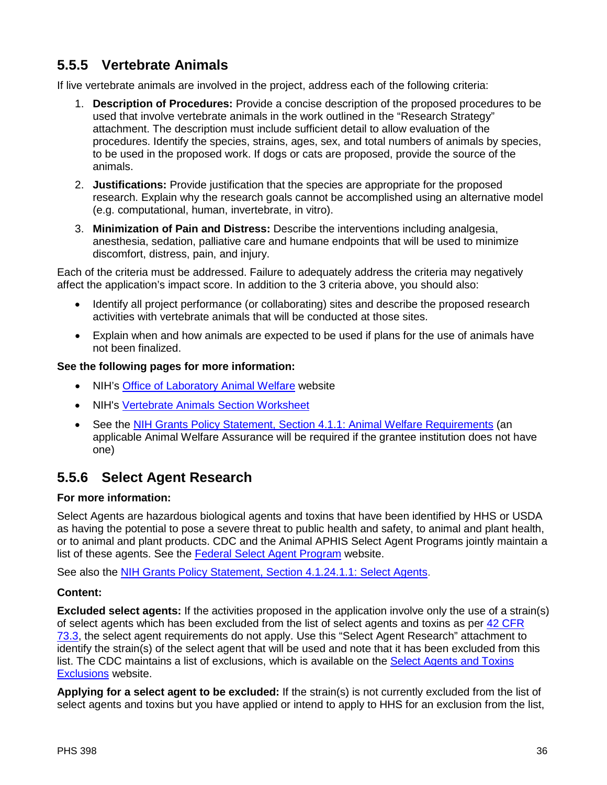## <span id="page-39-0"></span>**5.5.5 Vertebrate Animals**

If live vertebrate animals are involved in the project, address each of the following criteria:

- 1. **Description of Procedures:** Provide a concise description of the proposed procedures to be used that involve vertebrate animals in the work outlined in the "Research Strategy" attachment. The description must include sufficient detail to allow evaluation of the procedures. Identify the species, strains, ages, sex, and total numbers of animals by species, to be used in the proposed work. If dogs or cats are proposed, provide the source of the animals.
- 2. **Justifications:** Provide justification that the species are appropriate for the proposed research. Explain why the research goals cannot be accomplished using an alternative model (e.g. computational, human, invertebrate, in vitro).
- 3. **Minimization of Pain and Distress:** Describe the interventions including analgesia, anesthesia, sedation, palliative care and humane endpoints that will be used to minimize discomfort, distress, pain, and injury.

Each of the criteria must be addressed. Failure to adequately address the criteria may negatively affect the application's impact score. In addition to the 3 criteria above, you should also:

- Identify all project performance (or collaborating) sites and describe the proposed research activities with vertebrate animals that will be conducted at those sites.
- Explain when and how animals are expected to be used if plans for the use of animals have not been finalized.

#### **See the following pages for more information:**

- NIH's [Office of Laboratory Animal Welfare](http://grants.nih.gov/grants/olaw/olaw.htm) website
- NIH's [Vertebrate Animals Section Worksheet](http://grants.nih.gov/grants/olaw/VASchecklist.pdf)
- See the **NIH Grants Policy Statement, Section 4.1.1: Animal Welfare Requirements** (an applicable Animal Welfare Assurance will be required if the grantee institution does not have one)

### <span id="page-39-1"></span>**5.5.6 Select Agent Research**

#### **For more information:**

Select Agents are hazardous biological agents and toxins that have been identified by HHS or USDA as having the potential to pose a severe threat to public health and safety, to animal and plant health, or to animal and plant products. CDC and the Animal APHIS Select Agent Programs jointly maintain a list of these agents. See the [Federal Select Agent Program](http://www.selectagents.gov/) website.

See also the **NIH Grants Policy Statement, Section 4.1.24.1.1: Select Agents.** 

#### **Content:**

**Excluded select agents:** If the activities proposed in the application involve only the use of a strain(s) of select agents which has been excluded from the list of select agents and toxins as per [42 CFR](http://www.ecfr.gov/cgi-bin/retrieveECFR?r=PART&n=42y1.0.1.6.61#se42.1.73_13)  [73.3,](http://www.ecfr.gov/cgi-bin/retrieveECFR?r=PART&n=42y1.0.1.6.61#se42.1.73_13) the select agent requirements do not apply. Use this "Select Agent Research" attachment to identify the strain(s) of the select agent that will be used and note that it has been excluded from this list. The CDC maintains a list of exclusions, which is available on the [Select Agents and Toxins](http://www.selectagents.gov/SelectAgentsandToxinsExclusions.html)  [Exclusions](http://www.selectagents.gov/SelectAgentsandToxinsExclusions.html) website.

**Applying for a select agent to be excluded:** If the strain(s) is not currently excluded from the list of select agents and toxins but you have applied or intend to apply to HHS for an exclusion from the list,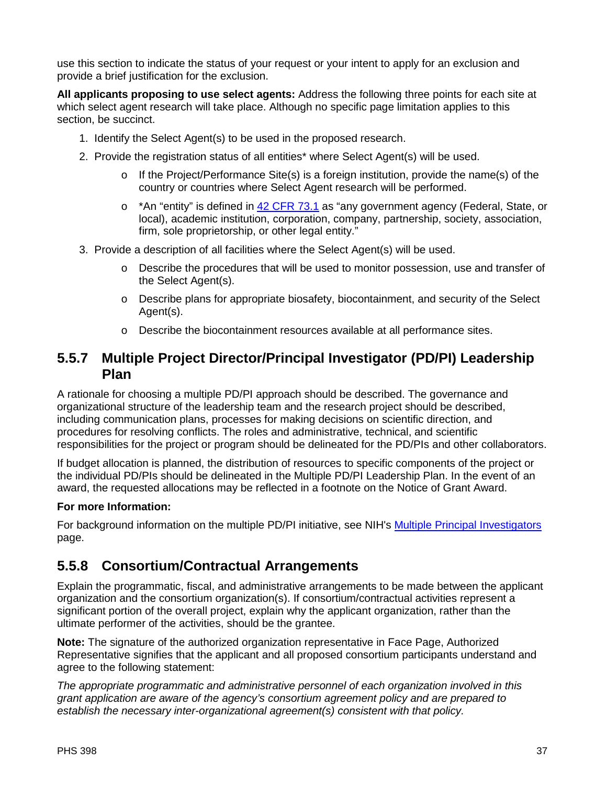use this section to indicate the status of your request or your intent to apply for an exclusion and provide a brief justification for the exclusion.

**All applicants proposing to use select agents:** Address the following three points for each site at which select agent research will take place. Although no specific page limitation applies to this section, be succinct.

- 1. Identify the Select Agent(s) to be used in the proposed research.
- 2. Provide the registration status of all entities\* where Select Agent(s) will be used.
	- $\circ$  If the Project/Performance Site(s) is a foreign institution, provide the name(s) of the country or countries where Select Agent research will be performed.
	- $\circ$  \*An "entity" is defined in [42 CFR 73.1](http://www.ecfr.gov/cgi-bin/retrieveECFR?r=PART&n=42y1.0.1.6.61#se42.1.73_11) as "any government agency (Federal, State, or local), academic institution, corporation, company, partnership, society, association, firm, sole proprietorship, or other legal entity."
- 3. Provide a description of all facilities where the Select Agent(s) will be used.
	- o Describe the procedures that will be used to monitor possession, use and transfer of the Select Agent(s).
	- o Describe plans for appropriate biosafety, biocontainment, and security of the Select Agent(s).
	- o Describe the biocontainment resources available at all performance sites.

### <span id="page-40-0"></span>**5.5.7 Multiple Project Director/Principal Investigator (PD/PI) Leadership Plan**

A rationale for choosing a multiple PD/PI approach should be described. The governance and organizational structure of the leadership team and the research project should be described, including communication plans, processes for making decisions on scientific direction, and procedures for resolving conflicts. The roles and administrative, technical, and scientific responsibilities for the project or program should be delineated for the PD/PIs and other collaborators.

If budget allocation is planned, the distribution of resources to specific components of the project or the individual PD/PIs should be delineated in the Multiple PD/PI Leadership Plan. In the event of an award, the requested allocations may be reflected in a footnote on the Notice of Grant Award.

#### **For more Information:**

For background information on the multiple PD/PI initiative, see NIH's [Multiple Principal Investigators](https://grants.nih.gov/grants/multi_pi/index.htm) page.

### <span id="page-40-1"></span>**5.5.8 Consortium/Contractual Arrangements**

Explain the programmatic, fiscal, and administrative arrangements to be made between the applicant organization and the consortium organization(s). If consortium/contractual activities represent a significant portion of the overall project, explain why the applicant organization, rather than the ultimate performer of the activities, should be the grantee.

**Note:** The signature of the authorized organization representative in Face Page, Authorized Representative signifies that the applicant and all proposed consortium participants understand and agree to the following statement:

*The appropriate programmatic and administrative personnel of each organization involved in this grant application are aware of the agency's consortium agreement policy and are prepared to establish the necessary inter-organizational agreement(s) consistent with that policy.*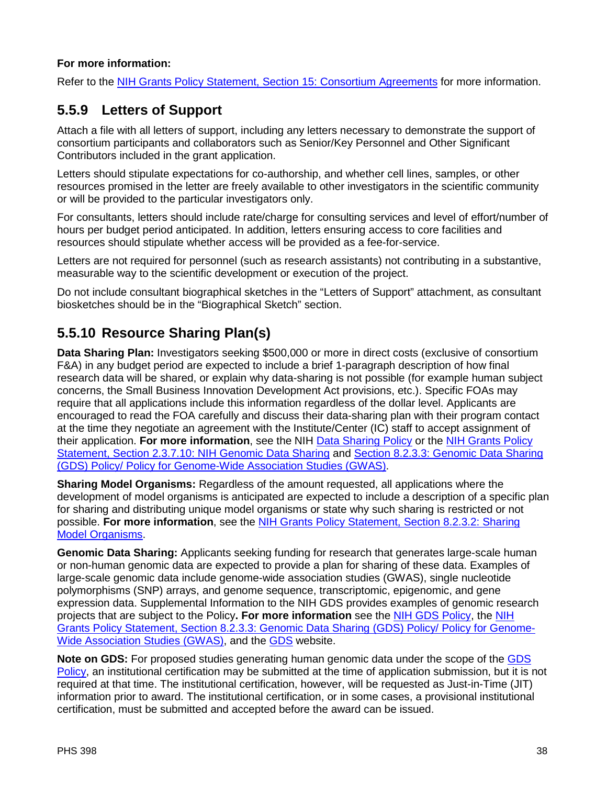#### **For more information:**

Refer to the [NIH Grants Policy Statement, Section 15: Consortium Agreements](http://grants.nih.gov/grants/policy/nihgps/HTML5/section_15/15.1_general.htm) for more information.

### <span id="page-41-0"></span>**5.5.9 Letters of Support**

Attach a file with all letters of support, including any letters necessary to demonstrate the support of consortium participants and collaborators such as Senior/Key Personnel and Other Significant Contributors included in the grant application.

Letters should stipulate expectations for co-authorship, and whether cell lines, samples, or other resources promised in the letter are freely available to other investigators in the scientific community or will be provided to the particular investigators only.

For consultants, letters should include rate/charge for consulting services and level of effort/number of hours per budget period anticipated. In addition, letters ensuring access to core facilities and resources should stipulate whether access will be provided as a fee-for-service.

Letters are not required for personnel (such as research assistants) not contributing in a substantive, measurable way to the scientific development or execution of the project.

Do not include consultant biographical sketches in the "Letters of Support" attachment, as consultant biosketches should be in the "Biographical Sketch" section.

### <span id="page-41-1"></span>**5.5.10 Resource Sharing Plan(s)**

**Data Sharing Plan:** Investigators seeking \$500,000 or more in direct costs (exclusive of consortium F&A) in any budget period are expected to include a brief 1-paragraph description of how final research data will be shared, or explain why data-sharing is not possible (for example human subject concerns, the Small Business Innovation Development Act provisions, etc.). Specific FOAs may require that all applications include this information regardless of the dollar level. Applicants are encouraged to read the FOA carefully and discuss their data-sharing plan with their program contact at the time they negotiate an agreement with the Institute/Center (IC) staff to accept assignment of their application. **For more information**, see the NIH [Data Sharing Policy](https://grants.nih.gov/grants/policy/data_sharing/) or the [NIH Grants Policy](https://grants.nih.gov/grants/policy/nihgps/HTML5/section_2/2.3_application_information_and_processes.htm#Policies)  [Statement, Section 2.3.7.10: NIH Genomic Data Sharing](https://grants.nih.gov/grants/policy/nihgps/HTML5/section_2/2.3_application_information_and_processes.htm#Policies) and [Section 8.2.3.3: Genomic Data Sharing](https://grants.nih.gov/grants/policy/nihgps/HTML5/section_8/8.2_availability_of_research_results_publications__intellectual_property_rights__and_sharing_research_resources.htm#Sharing)  [\(GDS\) Policy/ Policy for Genome-Wide Association Studies \(GWAS\).](https://grants.nih.gov/grants/policy/nihgps/HTML5/section_8/8.2_availability_of_research_results_publications__intellectual_property_rights__and_sharing_research_resources.htm#Sharing)

**Sharing Model Organisms:** Regardless of the amount requested, all applications where the development of model organisms is anticipated are expected to include a description of a specific plan for sharing and distributing unique model organisms or state why such sharing is restricted or not possible. **For more information**, see the [NIH Grants Policy Statement, Section 8.2.3.2: Sharing](https://grants.nih.gov/grants/policy/nihgps/HTML5/section_8/8.2_availability_of_research_results_publications__intellectual_property_rights__and_sharing_research_resources.htm#Sharing)  [Model Organisms.](https://grants.nih.gov/grants/policy/nihgps/HTML5/section_8/8.2_availability_of_research_results_publications__intellectual_property_rights__and_sharing_research_resources.htm#Sharing)

**Genomic Data Sharing:** Applicants seeking funding for research that generates large-scale human or non-human genomic data are expected to provide a plan for sharing of these data. Examples of large-scale genomic data include genome-wide association studies (GWAS), single nucleotide polymorphisms (SNP) arrays, and genome sequence, transcriptomic, epigenomic, and gene expression data. Supplemental Information to the NIH GDS provides examples of genomic research projects that are subject to the Policy**. For more information** see the [NIH GDS Policy,](https://osp.od.nih.gov/scientific-sharing/policies/) the [NIH](https://grants.nih.gov/grants/policy/nihgps/HTML5/section_8/8.2_availability_of_research_results_publications__intellectual_property_rights__and_sharing_research_resources.htm#Sharing)  [Grants Policy Statement, Section 8.2.3.3: Genomic Data Sharing \(GDS\) Policy/ Policy for Genome-](https://grants.nih.gov/grants/policy/nihgps/HTML5/section_8/8.2_availability_of_research_results_publications__intellectual_property_rights__and_sharing_research_resources.htm#Sharing)[Wide Association Studies \(GWAS\),](https://grants.nih.gov/grants/policy/nihgps/HTML5/section_8/8.2_availability_of_research_results_publications__intellectual_property_rights__and_sharing_research_resources.htm#Sharing) and the [GDS](https://osp.od.nih.gov/scientific-sharing/genomic-data-sharing/) website.

**Note on GDS:** For proposed studies generating human genomic data under the scope of the [GDS](https://gds.nih.gov/03policy2.html)  [Policy,](https://gds.nih.gov/03policy2.html) an institutional certification may be submitted at the time of application submission, but it is not required at that time. The institutional certification, however, will be requested as Just-in-Time (JIT) information prior to award. The institutional certification, or in some cases, a provisional institutional certification, must be submitted and accepted before the award can be issued.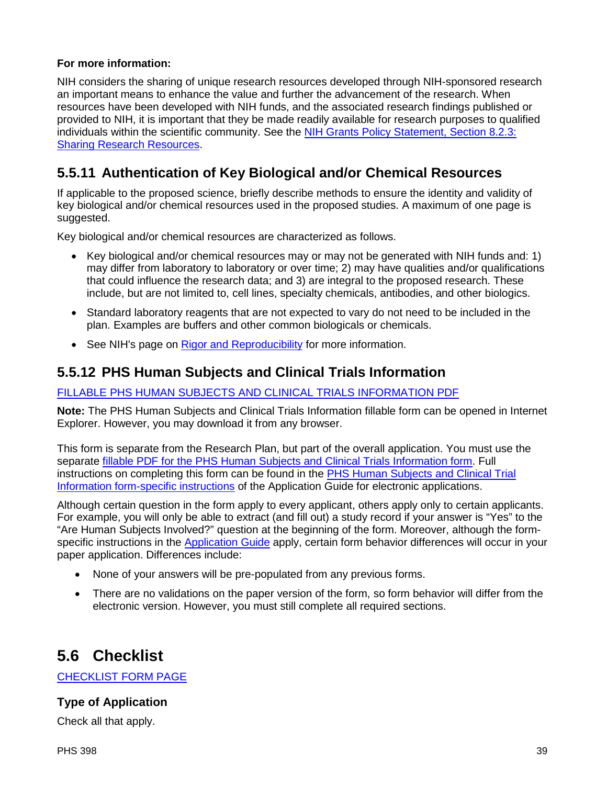#### **For more information:**

NIH considers the sharing of unique research resources developed through NIH-sponsored research an important means to enhance the value and further the advancement of the research. When resources have been developed with NIH funds, and the associated research findings published or provided to NIH, it is important that they be made readily available for research purposes to qualified individuals within the scientific community. See the [NIH Grants Policy Statement, Section 8.2.3:](https://grants.nih.gov/grants/policy/nihgps/HTML5/section_8/8.2_availability_of_research_results_publications__intellectual_property_rights__and_sharing_research_resources.htm#Sharing)  [Sharing Research Resources.](https://grants.nih.gov/grants/policy/nihgps/HTML5/section_8/8.2_availability_of_research_results_publications__intellectual_property_rights__and_sharing_research_resources.htm#Sharing)

### <span id="page-42-0"></span>**5.5.11 Authentication of Key Biological and/or Chemical Resources**

If applicable to the proposed science, briefly describe methods to ensure the identity and validity of key biological and/or chemical resources used in the proposed studies. A maximum of one page is suggested.

Key biological and/or chemical resources are characterized as follows.

- Key biological and/or chemical resources may or may not be generated with NIH funds and: 1) may differ from laboratory to laboratory or over time; 2) may have qualities and/or qualifications that could influence the research data; and 3) are integral to the proposed research. These include, but are not limited to, cell lines, specialty chemicals, antibodies, and other biologics.
- Standard laboratory reagents that are not expected to vary do not need to be included in the plan. Examples are buffers and other common biologicals or chemicals.
- See NIH's page on [Rigor and Reproducibility](http://grants.nih.gov/reproducibility/index.htm) for more information.

### <span id="page-42-1"></span>**5.5.12 PHS Human Subjects and Clinical Trials Information**

#### [FILLABLE PHS HUMAN SUBJECTS AND CLINICAL TRIALS INFORMATION PDF](https://grants.nih.gov/grants/forms/human-subjects-clinical-trials-information.pdf)

**Note:** The PHS Human Subjects and Clinical Trials Information fillable form can be opened in Internet Explorer. However, you may download it from any browser.

This form is separate from the Research Plan, but part of the overall application. You must use the separate [fillable PDF for the PHS Human Subjects and Clinical Trials Information form.](https://grants.nih.gov/grants/forms/human-subjects-clinical-trials-information.pdf) Full instructions on completing this form can be found in the [PHS Human Subjects and Clinical Trial](https://grants.nih.gov/grants/how-to-apply-application-guide/forms-e/general/g.500-phs-human-subjects-and-clinical-trials-information.htm)  [Information form-specific instructions](https://grants.nih.gov/grants/how-to-apply-application-guide/forms-e/general/g.500-phs-human-subjects-and-clinical-trials-information.htm) of the Application Guide for electronic applications.

Although certain question in the form apply to every applicant, others apply only to certain applicants. For example, you will only be able to extract (and fill out) a study record if your answer is "Yes" to the "Are Human Subjects Involved?" question at the beginning of the form. Moreover, although the form-specific instructions in the [Application Guide](https://grants.nih.gov/grants/how-to-apply-application-guide.html) apply, certain form behavior differences will occur in your paper application. Differences include:

- None of your answers will be pre-populated from any previous forms.
- There are no validations on the paper version of the form, so form behavior will differ from the electronic version. However, you must still complete all required sections.

## <span id="page-42-2"></span>**5.6 Checklist**

[CHECKLIST FORM PAGE](https://grants.nih.gov/grants/funding/phs398/phs398.html)

#### **Type of Application**

Check all that apply.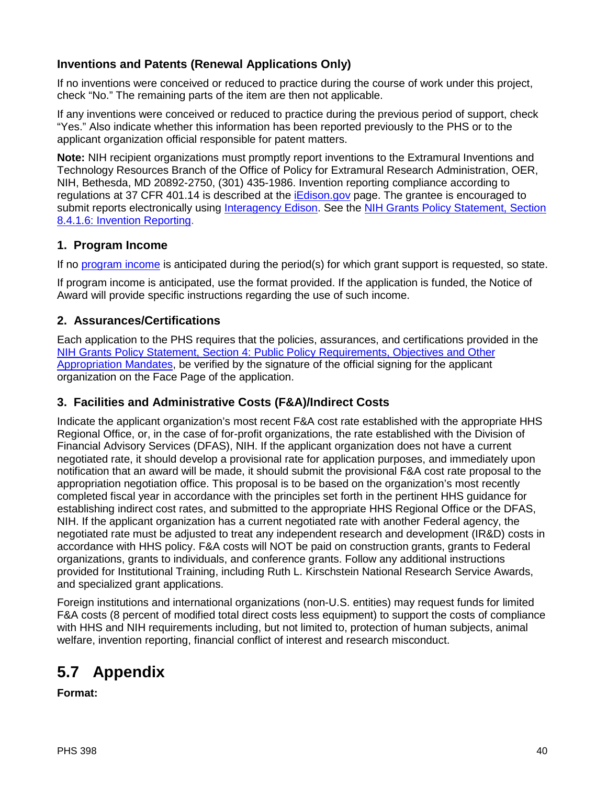### **Inventions and Patents (Renewal Applications Only)**

If no inventions were conceived or reduced to practice during the course of work under this project, check "No." The remaining parts of the item are then not applicable.

If any inventions were conceived or reduced to practice during the previous period of support, check "Yes." Also indicate whether this information has been reported previously to the PHS or to the applicant organization official responsible for patent matters.

**Note:** NIH recipient organizations must promptly report inventions to the Extramural Inventions and Technology Resources Branch of the Office of Policy for Extramural Research Administration, OER, NIH, Bethesda, MD 20892-2750, (301) 435-1986. Invention reporting compliance according to regulations at 37 CFR 401.14 is described at the [iEdison.gov](http://www.iedison.gov/) page. The grantee is encouraged to submit reports electronically using [Interagency Edison.](http://www.iedison.gov/) See the NIH Grants Policy Statement, Section [8.4.1.6: Invention Reporting.](https://grants.nih.gov/grants/policy/nihgps/HTML5/section_8/8.4_monitoring.htm?tocpath=8%20Administrative%20Requirements%7C8.4%20Monitoring%7C8.4.1%20Reporting%7C_____6#8.4.1.6_Invention_Reporting)

#### **1. Program Income**

If no [program income](https://grants.nih.gov/grants/glossary.htm#ProgramIncome) is anticipated during the period(s) for which grant support is requested, so state.

If program income is anticipated, use the format provided. If the application is funded, the Notice of Award will provide specific instructions regarding the use of such income.

### **2. Assurances/Certifications**

Each application to the PHS requires that the policies, assurances, and certifications provided in the [NIH Grants Policy Statement, Section 4: Public Policy Requirements, Objectives and Other](https://grants.nih.gov/grants/policy/nihgps/HTML5/section_4/4_public_policy_requirements__objectives_and_other_appropriation_mandates.htm)  [Appropriation Mandates,](https://grants.nih.gov/grants/policy/nihgps/HTML5/section_4/4_public_policy_requirements__objectives_and_other_appropriation_mandates.htm) be verified by the signature of the official signing for the applicant organization on the Face Page of the application.

### **3. Facilities and Administrative Costs (F&A)/Indirect Costs**

Indicate the applicant organization's most recent F&A cost rate established with the appropriate HHS Regional Office, or, in the case of for-profit organizations, the rate established with the Division of Financial Advisory Services (DFAS), NIH. If the applicant organization does not have a current negotiated rate, it should develop a provisional rate for application purposes, and immediately upon notification that an award will be made, it should submit the provisional F&A cost rate proposal to the appropriation negotiation office. This proposal is to be based on the organization's most recently completed fiscal year in accordance with the principles set forth in the pertinent HHS guidance for establishing indirect cost rates, and submitted to the appropriate HHS Regional Office or the DFAS, NIH. If the applicant organization has a current negotiated rate with another Federal agency, the negotiated rate must be adjusted to treat any independent research and development (IR&D) costs in accordance with HHS policy. F&A costs will NOT be paid on construction grants, grants to Federal organizations, grants to individuals, and conference grants. Follow any additional instructions provided for Institutional Training, including Ruth L. Kirschstein National Research Service Awards, and specialized grant applications.

Foreign institutions and international organizations (non-U.S. entities) may request funds for limited F&A costs (8 percent of modified total direct costs less equipment) to support the costs of compliance with HHS and NIH requirements including, but not limited to, protection of human subjects, animal welfare, invention reporting, financial conflict of interest and research misconduct.

## <span id="page-43-0"></span>**5.7 Appendix**

**Format:**